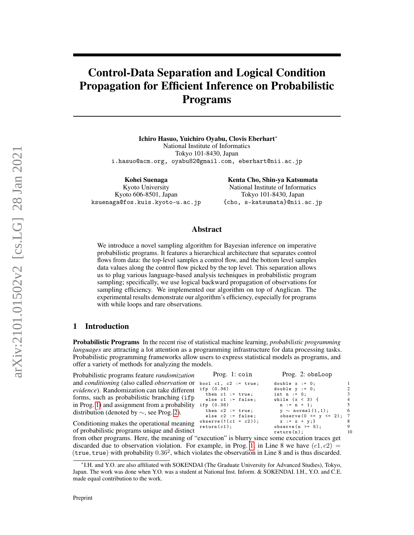# <span id="page-0-4"></span>Control-Data Separation and Logical Condition Propagation for Efficient Inference on Probabilistic Programs

Ichiro Hasuo, Yuichiro Oyabu, Clovis Eberhart<sup>∗</sup> National Institute of Informatics Tokyo 101-8430, Japan i.hasuo@acm.org, oyabu82@gmail.com, eberhart@nii.ac.jp

Kohei Suenaga Kyoto University Kyoto 606-8501, Japan ksuenaga@fos.kuis.kyoto-u.ac.jp

Kenta Cho, Shin-ya Katsumata National Institute of Informatics Tokyo 101-8430, Japan {cho, s-katsumata}@nii.ac.jp

# Abstract

We introduce a novel sampling algorithm for Bayesian inference on imperative probabilistic programs. It features a hierarchical architecture that separates control flows from data: the top-level samples a control flow, and the bottom level samples data values along the control flow picked by the top level. This separation allows us to plug various language-based analysis techniques in probabilistic program sampling; specifically, we use logical backward propagation of observations for sampling efficiency. We implemented our algorithm on top of Anglican. The experimental results demonstrate our algorithm's efficiency, especially for programs with while loops and rare observations.

# <span id="page-0-2"></span>1 Introduction

Probabilistic Programs In the recent rise of statistical machine learning, *probabilistic programming languages* are attracting a lot attention as a programming infrastructure for data processing tasks. Probabilistic programming frameworks allow users to express statistical models as programs, and offer a variety of methods for analyzing the models.

<span id="page-0-0"></span> $l$ : coin

<span id="page-0-3"></span> $:=$  true;  $:=$  false;<br>c1 = c2));

| Probabilistic programs feature <i>randomization</i>               | Prog. 1: coin                              |
|-------------------------------------------------------------------|--------------------------------------------|
| and conditioning (also called observation or bool c1, c2 := true; |                                            |
| <i>evidence</i> ). Randomization can take different               | ifp(0.36)<br>then $c1 := true;$            |
| forms, such as probabilistic branching (ifp)                      | else $c1 := false$ ;                       |
| in Prog. 1) and assignment from a probability                     | ifp(0.36)                                  |
| distribution (denoted by $\sim$ , see Prog. 2).                   | then $c2 := true;$<br>else $c2 := false$ : |
|                                                                   |                                            |

<span id="page-0-1"></span>Prog. 2: obsLoop

| double $x := 0$ ;           |                 |
|-----------------------------|-----------------|
| double $y := 0$ ;           | 2               |
| int $n := 0$ ;              | 3               |
| while $(x < 3)$ {           | $\overline{4}$  |
| $n := n + 1$ ;              | 5               |
| $y \sim$ normal $(1,1)$ ;   | 6               |
| observe $(0 \le y \le 2)$ ; | $7\phantom{.0}$ |
| $x := x + y;$               | 8               |
| observe $(n \ge 5)$ ;       | 9               |
| return(n);                  |                 |
|                             |                 |

observe (! (c1  $return (c1)$ ; Conditioning makes the operational meaning of probabilistic programs unique and distinct

from other programs. Here, the meaning of "execution" is blurry since some execution traces get discarded due to observation violation. For example, in Prog. [1,](#page-0-0) in Line 8 we have  $(c1, c2)$  = (true, true) with probability 0.36<sup>2</sup> , which violates the observation in Line 8 and is thus discarded.

<sup>∗</sup> I.H. and Y.O. are also affiliated with SOKENDAI (The Graduate University for Advanced Studies), Tokyo, Japan. The work was done when Y.O. was a student at National Inst. Inform. & SOKENDAI. I.H., Y.O. and C.E. made equal contribution to the work.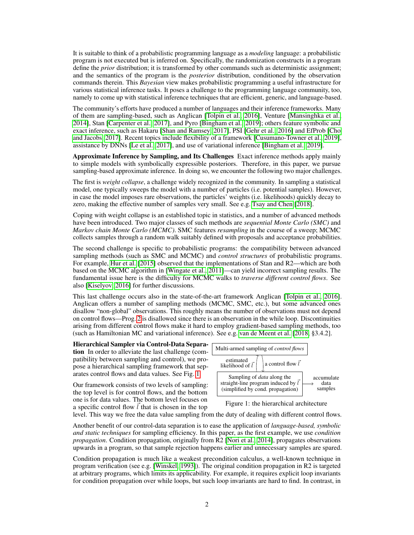It is suitable to think of a probabilistic programming language as a *modeling* language: a probabilistic program is not executed but is inferred on. Specifically, the randomization constructs in a program define the *prior* distribution; it is transformed by other commands such as deterministic assignment; and the semantics of the program is the *posterior* distribution, conditioned by the observation commands therein. This *Bayesian* view makes probabilistic programming a useful infrastructure for various statistical inference tasks. It poses a challenge to the programming language community, too, namely to come up with statistical inference techniques that are efficient, generic, and language-based.

The community's efforts have produced a number of languages and their inference frameworks. Many of them are sampling-based, such as Anglican [\[Tolpin et al., 2016\]](#page-10-0), Venture [\[Mansinghka et al.,](#page-10-1) [2014\]](#page-10-1), Stan [\[Carpenter et al., 2017\]](#page-9-0), and Pyro [\[Bingham et al., 2019\]](#page-9-1); others feature symbolic and exact inference, such as Hakaru [\[Shan and Ramsey, 2017\]](#page-10-2), PSI [\[Gehr et al., 2016\]](#page-9-2) and EfProb [\[Cho](#page-9-3) [and Jacobs, 2017\]](#page-9-3). Recent topics include flexibility of a framework [\[Cusumano-Towner et al., 2019\]](#page-9-4), assistance by DNNs [\[Le et al., 2017\]](#page-10-3), and use of variational inference [\[Bingham et al., 2019\]](#page-9-1).

Approximate Inference by Sampling, and Its Challenges Exact inference methods apply mainly to simple models with symbolically expressible posteriors. Therefore, in this paper, we pursue sampling-based approximate inference. In doing so, we encounter the following two major challenges.

The first is *weight collapse*, a challenge widely recognized in the community. In sampling a statistical model, one typically sweeps the model with a number of particles (i.e. potential samples). However, in case the model imposes rare observations, the particles' weights (i.e. likelihoods) quickly decay to zero, making the effective number of samples very small. See e.g. [Tsay and Chen](#page-10-4) [\[2018\]](#page-10-4).

Coping with weight collapse is an established topic in statistics, and a number of advanced methods have been introduced. Two major classes of such methods are *sequential Monte Carlo (SMC)* and *Markov chain Monte Carlo (MCMC)*. SMC features *resampling* in the course of a sweep; MCMC collects samples through a random walk suitably defined with proposals and acceptance probabilities.

The second challenge is specific to probabilistic programs: the compatibility between advanced sampling methods (such as SMC and MCMC) and *control structures* of probabilistic programs. For example, [Hur et al.](#page-9-5) [\[2015\]](#page-9-5) observed that the implementations of Stan and R2—which are both based on the MCMC algorithm in [\[Wingate et al., 2011\]](#page-10-5)—can yield incorrect sampling results. The fundamental issue here is the difficulty for MCMC walks to *traverse different control flows*. See also [\[Kiselyov, 2016\]](#page-10-6) for further discussions.

This last challenge occurs also in the state-of-the-art framework Anglican [\[Tolpin et al., 2016\]](#page-10-0). Anglican offers a number of sampling methods (MCMC, SMC, etc.), but some advanced ones disallow "non-global" observations. This roughly means the number of observations must not depend on control flows—Prog. [2](#page-0-1) is disallowed since there is an observation in the while loop. Discontinuities arising from different control flows make it hard to employ gradient-based sampling methods, too (such as Hamiltonian MC and variational inference). See e.g. [van de Meent et al.](#page-10-7) [\[2018,](#page-10-7) §3.4.2].

Hierarchical Sampler via Control-Data Separation In order to alleviate the last challenge (compatibility between sampling and control), we propose a hierarchical sampling framework that separates control flows and data values. See Fig. [1.](#page-1-0)

Our framework consists of two levels of sampling: the top level is for control flows, and the bottom one is for data values. The bottom level focuses on a specific control flow  $\vec{l}$  that is chosen in the top

<span id="page-1-0"></span>

### Figure 1: the hierarchical architecture

level. This way we free the data value sampling from the duty of dealing with different control flows.

Another benefit of our control-data separation is to ease the application of *language-based, symbolic and static techniques* for sampling efficiency. In this paper, as the first example, we use *condition propagation*. Condition propagation, originally from R2 [\[Nori et al., 2014\]](#page-10-8), propagates observations upwards in a program, so that sample rejection happens earlier and unnecessary samples are spared.

Condition propagation is much like a weakest precondition calculus, a well-known technique in program verification (see e.g. [\[Winskel, 1993\]](#page-10-9)). The original condition propagation in R2 is targeted at arbitrary programs, which limits its applicability. For example, it requires explicit loop invariants for condition propagation over while loops, but such loop invariants are hard to find. In contrast, in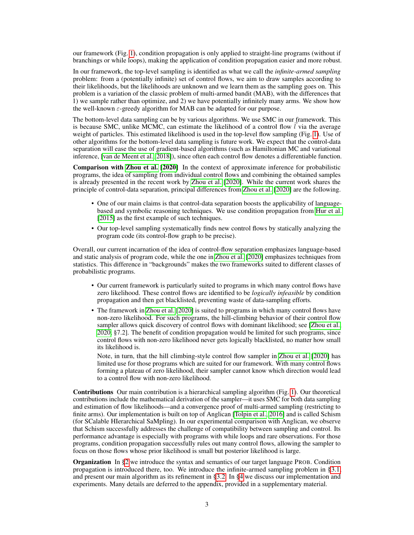our framework (Fig. [1\)](#page-1-0), condition propagation is only applied to straight-line programs (without if branchings or while loops), making the application of condition propagation easier and more robust.

In our framework, the top-level sampling is identified as what we call the *infinite-armed sampling* problem: from a (potentially infinite) set of control flows, we aim to draw samples according to their likelihoods, but the likelihoods are unknown and we learn them as the sampling goes on. This problem is a variation of the classic problem of multi-armed bandit (MAB), with the differences that 1) we sample rather than optimize, and 2) we have potentially infinitely many arms. We show how the well-known  $\varepsilon$ -greedy algorithm for MAB can be adapted for our purpose.

The bottom-level data sampling can be by various algorithms. We use SMC in our framework. This is because SMC, unlike MCMC, can estimate the likelihood of a control flow  $\vec{l}$  via the average weight of particles. This estimated likelihood is used in the top-level flow sampling (Fig. [1\)](#page-1-0). Use of other algorithms for the bottom-level data sampling is future work. We expect that the control-data separation will ease the use of gradient-based algorithms (such as Hamiltonian MC and variational inference, [\[van de Meent et al., 2018\]](#page-10-7)), since often each control flow denotes a differentiable function.

Comparison with [Zhou et al.](#page-10-10) [\[2020\]](#page-10-10) In the context of approximate inference for probabilistic programs, the idea of sampling from individual control flows and combining the obtained samples is already presented in the recent work by [Zhou et al.](#page-10-10) [\[2020\]](#page-10-10). While the current work shares the principle of control-data separation, principal differences from [Zhou et al.](#page-10-10) [\[2020\]](#page-10-10) are the following.

- One of our main claims is that control-data separation boosts the applicability of languagebased and symbolic reasoning techniques. We use condition propagation from [Hur et al.](#page-9-5) [\[2015\]](#page-9-5) as the first example of such techniques.
- Our top-level sampling systematically finds new control flows by statically analyzing the program code (its control-flow graph to be precise).

Overall, our current incarnation of the idea of control-flow separation emphasizes language-based and static analysis of program code, while the one in [Zhou et al.](#page-10-10) [\[2020\]](#page-10-10) emphasizes techniques from statistics. This difference in "backgrounds" makes the two frameworks suited to different classes of probabilistic programs.

- Our current framework is particularly suited to programs in which many control flows have zero likelihood. These control flows are identified to be *logically infeasible* by condition propagation and then get blacklisted, preventing waste of data-sampling efforts.
- The framework in [Zhou et al.](#page-10-10) [\[2020\]](#page-10-10) is suited to programs in which many control flows have non-zero likelihood. For such programs, the hill-climbing behavior of their control flow sampler allows quick discovery of control flows with dominant likelihood; see [\[Zhou et al.,](#page-10-10) [2020,](#page-10-10) §7.2]. The benefit of condition propagation would be limited for such programs, since control flows with non-zero likelihood never gets logically blacklisted, no matter how small its likelihood is.

Note, in turn, that the hill climbing-style control flow sampler in [Zhou et al.](#page-10-10) [\[2020\]](#page-10-10) has limited use for those programs which are suited for our framework. With many control flows forming a plateau of zero likelihood, their sampler cannot know which direction would lead to a control flow with non-zero likelihood.

Contributions Our main contribution is a hierarchical sampling algorithm (Fig. [1\)](#page-1-0). Our theoretical contributions include the mathematical derivation of the sampler—it uses SMC for both data sampling and estimation of flow likelihoods—and a convergence proof of multi-armed sampling (restricting to finite arms). Our implementation is built on top of Anglican [\[Tolpin et al., 2016\]](#page-10-0) and is called Schism (for SCalable HIerarchical SaMpling). In our experimental comparison with Anglican, we observe that Schism successfully addresses the challenge of compatibility between sampling and control. Its performance advantage is especially with programs with while loops and rare observations. For those programs, condition propagation successfully rules out many control flows, allowing the sampler to focus on those flows whose prior likelihood is small but posterior likelihood is large.

**Organization** In \$2 we introduce the syntax and semantics of our target language PROB. Condition propagation is introduced there, too. We introduce the infinite-armed sampling problem in [§3.1,](#page-6-0) and present our main algorithm as its refinement in [§3.2.](#page-6-1) In [§4](#page-7-0) we discuss our implementation and experiments. Many details are deferred to the appendix, provided in a supplementary material.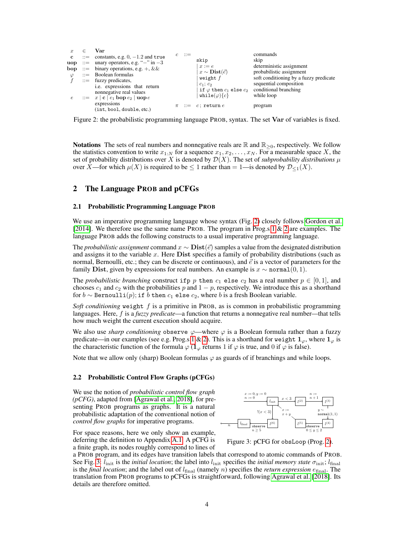<span id="page-3-1"></span>

|              | Var                                                                                                                     |                        |                                                                                                     | commands                               |
|--------------|-------------------------------------------------------------------------------------------------------------------------|------------------------|-----------------------------------------------------------------------------------------------------|----------------------------------------|
| $\mathbf{c}$ | $\cdots$ constants, e.g. 0, -1.2 and true                                                                               | $c \nightharpoonup :=$ | skip                                                                                                | skip                                   |
|              | uop ::= unary operators, e.g. "-" in $-3$                                                                               |                        | $x := e$                                                                                            | deterministic assignment               |
|              | <b>bop</b> ::= binary operations, e.g. +, &&                                                                            |                        |                                                                                                     |                                        |
| $\varphi$    | $ ::=$ Boolean formulas                                                                                                 |                        | $x \sim \textbf{Dist}(\vec{e})$                                                                     | probabilistic assignment               |
|              | $ ::=$ fuzzy predicates,                                                                                                |                        | weight $f$                                                                                          | soft conditioning by a fuzzy predicate |
|              | i.e. expressions that return<br>nonnegative real values<br>$\therefore$ $x \mid c \mid e_1$ bop $e_2 \mid \text{uop} e$ |                        | $c_1$ ; $c_2$<br>if $\varphi$ then $c_1$ else $c_2$ conditional branching<br>while $(\varphi)\{c\}$ | sequential composition<br>while loop   |
|              | expressions<br>(int, bool, double, etc.)                                                                                |                        | $\pi$ : $=$ c; return e                                                                             | program                                |

Figure 2: the probabilistic programming language PROB, syntax. The set Var of variables is fixed.

**Notations** The sets of real numbers and nonnegative reals are  $\mathbb{R}$  and  $\mathbb{R}_{>0}$ , respectively. We follow the statistics convention to write  $x_{1:N}$  for a sequence  $x_1, x_2, \ldots, x_N$ . For a measurable space X, the set of probability distributions over X is denoted by  $\mathcal{D}(X)$ . The set of *subprobability distributions*  $\mu$ over  $\overline{X}$ —for which  $\mu(X)$  is required to be  $\leq 1$  rather than  $= 1$ —is denoted by  $\mathcal{D}_{\leq 1}(X)$ .

# <span id="page-3-0"></span>2 The Language PROB and pCFGs

#### 2.1 Probabilistic Programming Language PROB

We use an imperative programming language whose syntax (Fig. [2\)](#page-3-1) closely follows [Gordon et al.](#page-9-6) [\[2014\]](#page-9-6). We therefore use the same name PROB. The program in Prog.s [1](#page-0-0)  $\&$  [2](#page-0-1) are examples. The language PROB adds the following constructs to a usual imperative programming language.

The *probabilistic assignment* command  $x \sim \text{Dist}(\vec{e})$  samples a value from the designated distribution and assigns it to the variable x. Here Dist specifies a family of probability distributions (such as normal, Bernoulli, etc.; they can be discrete or continuous), and  $\vec{e}$  is a vector of parameters for the family Dist, given by expressions for real numbers. An example is  $x \sim \text{normal}(0, 1)$ .

The *probabilistic branching* construct if p p then  $c_1$  else  $c_2$  has a real number  $p \in [0,1]$ , and chooses  $c_1$  and  $c_2$  with the probabilities p and  $1 - p$ , respectively. We introduce this as a shorthand for  $b \sim \text{Bernoulli}(p)$ ; if b then  $c_1$  else  $c_2$ , where b is a fresh Boolean variable.

*Soft conditioning* weight f is a primitive in PROB, as is common in probabilistic programming languages. Here, f is a *fuzzy predicate*—a function that returns a nonnegative real number—that tells how much weight the current execution should acquire.

We also use *sharp conditioning* observe  $\varphi$ —where  $\varphi$  is a Boolean formula rather than a fuzzy predicate—in our examples (see e.g. Prog.s [1](#page-0-0) & [2\)](#page-0-1). This is a shorthand for weight  $1_{\varphi}$ , where  $1_{\varphi}$  is the characteristic function of the formula  $\varphi$  ( $\mathbf{1}_{\varphi}$  returns 1 if  $\varphi$  is true, and 0 if  $\varphi$  is false).

Note that we allow only (sharp) Boolean formulas  $\varphi$  as guards of if branchings and while loops.

#### 2.2 Probabilistic Control Flow Graphs (pCFGs)

We use the notion of *probabilistic control flow graph (pCFG)*, adapted from [\[Agrawal et al., 2018\]](#page-9-7), for presenting PROB programs as graphs. It is a natural probabilistic adaptation of the conventional notion of *control flow graphs* for imperative programs.

For space reasons, here we only show an example, deferring the definition to Appendix [A.1.](#page-11-0) A pCFG is a finite graph, its nodes roughly correspond to lines of

<span id="page-3-2"></span>

Figure 3: pCFG for obsLoop (Prog. [2\)](#page-0-1).

a PROB program, and its edges have transition labels that correspond to atomic commands of PROB. See Fig. [3:](#page-3-2)  $l_{\text{init}}$  is the *initial location*; the label into  $l_{\text{init}}$  specifies the *initial memory state*  $\sigma_{\text{init}}$ ;  $l_{\text{final}}$ is the *final location*; and the label out of  $l_{final}$  (namely *n*) specifies the *return expression*  $e_{final}$ . The translation from PROB programs to pCFGs is straightforward, following [Agrawal et al.](#page-9-7) [\[2018\]](#page-9-7). Its details are therefore omitted.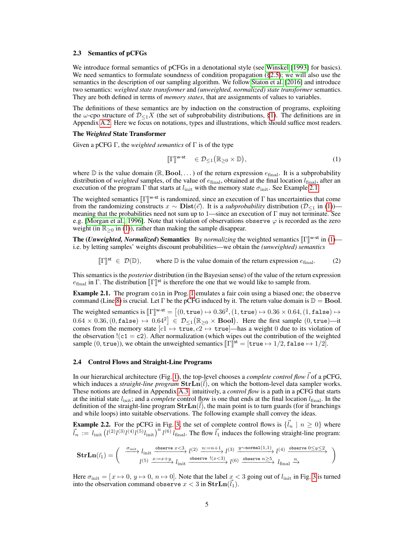## 2.3 Semantics of pCFGs

We introduce formal semantics of pCFGs in a denotational style (see [Winskel](#page-10-9) [\[1993\]](#page-10-9) for basics). We need semantics to formulate soundness of condition propagation  $(\S 2.5)$ ; we will also use the semantics in the description of our sampling algorithm. We follow [Staton et al.](#page-10-11) [\[2016\]](#page-10-11) and introduce two semantics: *weighted state transformer* and *(unweighted, normalized) state transformer* semantics. They are both defined in terms of *memory states*, that are assignments of values to variables.

The definitions of these semantics are by induction on the construction of programs, exploiting the  $\omega$ -cpo structure of  $\mathcal{D}_{\leq 1}X$  (the set of subprobability distributions, [§1\)](#page-0-2). The definitions are in Appendix [A.2.](#page-11-1) Here we focus on notations, types and illustrations, which should suffice most readers.

## The *Weighted* State Transformer

Given a pCFG Γ, the *weighted semantics* of Γ is of the type

<span id="page-4-2"></span><span id="page-4-1"></span>
$$
\llbracket \Gamma \rrbracket^{\mathsf{w}\text{-st}} \quad \in \mathcal{D}_{\leq 1}(\mathbb{R}_{\geq 0} \times \mathbb{D}), \tag{1}
$$

where  $\mathbb D$  is the value domain ( $\mathbb R$ , Bool, ...) of the return expression  $e_{\text{final}}$ . It is a subprobability distribution of *weighted* samples, of the value of  $e_{final}$ , obtained at the final location  $l_{final}$ , after an execution of the program Γ that starts at  $l_{\text{init}}$  with the memory state  $\sigma_{\text{init}}$ . See Example [2.1.](#page-4-0)

The weighted semantics  $[\Gamma]]^{w-st}$  is randomized, since an execution of  $\Gamma$  has uncertainties that come from the randomizing constructs  $x \sim \textbf{Dist}(\vec{e})$ . It is a subprobability distribution  $(\mathcal{D}_{\leq t}$  in (1)) from the randomizing constructs  $x \sim \textbf{Dist}(\vec{e})$ . It is a *subprobability* distribution  $(\mathcal{D}_{\leq 1}$  in [\(1\)](#page-4-1)) meaning that the probabilities need not sum up to 1—since an execution of  $\Gamma$  may not terminate. See e.g. [\[Morgan et al., 1996\]](#page-10-12). Note that violation of observations observe  $\varphi$  is recorded as the zero weight (in  $\mathbb{R}_{\geq 0}$  in [\(1\)](#page-4-1)), rather than making the sample disappear.

**The (***Unweighted, Normalized***) Semantics** By *normalizing* the weighted semantics  $[\![\Gamma]\!]^{w-st}$  in [\(1\)](#page-4-1)—<br>i.e. by letting samples' weights discount probabilities—we obtain the *(unweighted)* semantics i.e. by letting samples' weights discount probabilities—we obtain the *(unweighted) semantics*

 $[\![\Gamma]\!]^{\text{st}} \in \mathcal{D}(\mathbb{D}),$ where  $\mathbb D$  is the value domain of the return expression  $e_{\text{final}}$ . (2)

This semantics is the *posterior* distribution (in the Bayesian sense) of the value of the return expression  $e_{\text{final}}$  in Γ. The distribution  $[\![\Gamma]\!]^{\text{st}}$  is therefore the one that we would like to sample from.

<span id="page-4-0"></span>Example 2.1. The program coin in Prog. [1](#page-0-0) emulates a fair coin using a biased one; the observe command (Line [8\)](#page-0-3) is crucial. Let  $\Gamma$  be the pCFG induced by it. The return value domain is  $\mathbb{D} = \textbf{Bool}$ .

The weighted semantics is  $[\Gamma]]^{w-st} = [(0, true) \mapsto 0.36^2, (1, true) \mapsto 0.36 \times 0.64, (1, false) \mapsto 0.64 \times 0.26, (0, false) \mapsto 0.64^2] \in \mathbb{R}$  $(0.64 \times 0.36, (0, \texttt{false}) \mapsto 0.64^2 \in \mathcal{D}_{\leq 1}(\mathbb{R}_{\geq 0} \times \textbf{Bool})$ . Here the first sample  $(0, \texttt{true})$ —it comes from the memory state  $[c_1 \rightarrow true, c_2 \rightarrow true]$ —has a weight 0 due to its violation of the observation  $\left( c1 = c2 \right)$ . After normalization (which wipes out the contribution of the weighted sample  $(0, \text{true})$ ), we obtain the unweighted semantics  $[\![\Gamma]\!]^{\text{st}} = [\text{true} \mapsto 1/2, \text{false} \mapsto 1/2]$ .

### 2.4 Control Flows and Straight-Line Programs

In our hierarchical architecture (Fig. [1\)](#page-1-0), the top-level chooses a *complete control flow*  $\vec{l}$  of a pCFG, which induces a *straight-line program*  $\textbf{StrIn}(\vec{l})$ , on which the bottom-level data sampler works. These notions are defined in Appendix [A.3:](#page-13-0) intuitively, a *control flow* is a path in a pCFG that starts at the initial state  $l_{\text{init}}$ ; and a *complete* control flow is one that ends at the final location  $l_{\text{final}}$ . In the definition of the straight-line program  $\textbf{Str} \textbf{Ln}(\vec{l})$ , the main point is to turn guards (for if branchings and while loops) into suitable observations. The following example shall convey the ideas.

**Example 2.2.** For the pCFG in Fig. [3,](#page-3-2) the set of complete control flows is  $\{l_n \mid n \geq 0\}$  where  $\vec{l}_n := l_{\text{init}} \left(l^{(2)} l^{(3)} l^{(4)} l^{(5)} l_{\text{init}}\right)^n l^{(6)} l_{\text{final}}$ . The flow  $\vec{l}_1$  induces the following straight-line program:

$$
\text{StrLn}(\vec{i}_1)=\left(\begin{array}{c} \xrightarrow{\sigma_{\text{init}}} l_{\text{init}} \xrightarrow{\text{observe } x<3} l^{(2)} \xrightarrow{n:=n+1} l^{(3)} \xrightarrow{y \sim \text{normal}(1,1)} l^{(4)} \xrightarrow{\text{observe } 0\leq y\leq 2} \\ l^{(5)} \xrightarrow{x:=x+y} l_{\text{init}} \xrightarrow{\text{observe } l(x<3)} l^{(6)} \xrightarrow{\text{observe } n\geq 5} l_{\text{final}} \xrightarrow{n} \end{array}\right)
$$

Here  $\sigma_{\text{init}} = [x \mapsto 0, y \mapsto 0, n \mapsto 0]$ . Note that the label  $x < 3$  $x < 3$  going out of  $l_{\text{init}}$  in Fig. 3 is turned into the observation command observe  $x < 3$  in  $\textbf{StrIn}(\vec{l}_1)$ .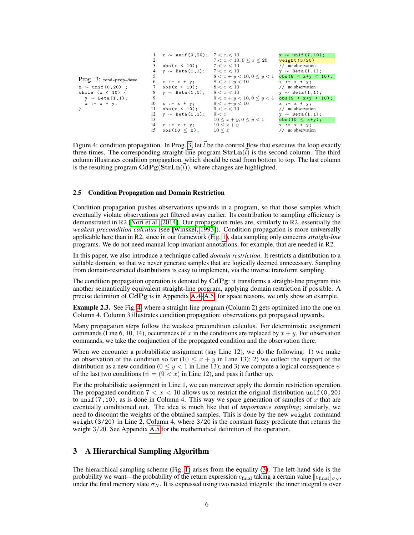<span id="page-5-2"></span><span id="page-5-1"></span>

|                                      |    | $x \sim \text{unif}(0, 20); \quad 7 < x < 10$<br>obs(x < 10); | 7 < x < 10, 0 < x < 20<br>7 < x < 10 | $x \sim \text{unif}(7,10)$ ;<br>weight(3/20)<br>$//$ no observation |
|--------------------------------------|----|---------------------------------------------------------------|--------------------------------------|---------------------------------------------------------------------|
|                                      |    | $y \sim$ Beta(1,1); $7 < x < 10$                              |                                      | $y \sim$ Beta $(1,1)$ ;                                             |
| Prog. 3: cond-prop-demo              |    |                                                               | $8 < x + y < 10, 0 \leq y < 1$       | $obs (8 < x+y < 10);$                                               |
|                                      | 6  | $x := x + y;$                                                 | $8 < x + y < 10$                     | $x := x + y;$                                                       |
| $x \sim \text{unif}(0, 20)$ ;        |    | obs(x < 10);                                                  | 8 < x < 10                           | $//$ no observation                                                 |
| while $(x < 10)$ f                   | 8  | $y \sim$ Beta $(1,1)$ ;                                       | 8 < x < 10                           | $y \sim$ Beta $(1,1)$ ;                                             |
| $\mathbf{v} \sim \text{Beta}(1,1)$ ; | 9  |                                                               | $9 < x + y < 10, 0 \leq y < 1$       | $obs(9 < x+y < 10);$                                                |
| $x := x + y$ ;                       |    | 10 $x := x + y$ ;                                             | $9 < x + y < 10$                     | $x := x + y;$                                                       |
|                                      | 11 | $obs(x < 10)$ ;                                               | 9 < x < 10                           | // no observation                                                   |
|                                      | 12 | $y \sim$ Beta $(1,1)$ ;                                       | 9 < x                                | $y \sim$ Beta $(1,1)$ ;                                             |
|                                      | 13 |                                                               | $10 \leq x + y, 0 \leq y \leq 1$     | obs $(10 \le x+y);$                                                 |
|                                      |    | $14 \times := x + y;$                                         | $10 \leq x + y$                      | $x := x + y;$                                                       |
|                                      | 15 | obs(10 < x);                                                  | $10 \leq x$                          | // no observation                                                   |

Figure 4: condition propagation. In Prog. [3,](#page-5-1) let  $\vec{l}$  be the control flow that executes the loop exactly three times. The corresponding straight-line program  $\textbf{Str} \textbf{Ln}(\vec{l})$  is the second column. The third column illustrates condition propagation, which should be read from bottom to top. The last column is the resulting program  $\mathbf{CdPg}(\mathbf{StrIn}(\vec{l}))$ , where changes are highlighted.

## <span id="page-5-0"></span>2.5 Condition Propagation and Domain Restriction

Condition propagation pushes observations upwards in a program, so that those samples which eventually violate observations get filtered away earlier. Its contribution to sampling efficiency is demonstrated in R2 [\[Nori et al., 2014\]](#page-10-8). Our propagation rules are, similarly to R2, essentially the *weakest precondition calculus* (see [\[Winskel, 1993\]](#page-10-9)). Condition propagation is more universally applicable here than in R2, since in our framework (Fig. [1\)](#page-1-0), data sampling only concerns *straight-line* programs. We do not need manual loop invariant annotations, for example, that are needed in R2.

In this paper, we also introduce a technique called *domain restriction*. It restricts a distribution to a suitable domain, so that we never generate samples that are logically deemed unnecessary. Sampling from domain-restricted distributions is easy to implement, via the inverse transform sampling.

The condition propagation operation is denoted by  $CdPg$ : it transforms a straight-line program into another semantically equivalent straight-line program, applying domain restriction if possible. A precise definition of  $CdPg$  is in Appendix [A.4–](#page-14-0)[A.5;](#page-15-0) for space reasons, we only show an example.

Example 2.3. See Fig. [4,](#page-5-2) where a straight-line program (Column 2) gets optimized into the one on Column 4. Column 3 illustrates condition propagation: observations get propagated upwards.

Many propagation steps follow the weakest precondition calculus. For deterministic assignment commands (Line 6, 10, 14), occurrences of x in the conditions are replaced by  $x + y$ . For observation commands, we take the conjunction of the propagated condition and the observation there.

When we encounter a probabilistic assignment (say Line 12), we do the following: 1) we make an observation of the condition so far  $(10 \le x + y)$  in Line 13); 2) we collect the support of the distribution as a new condition ( $0 \le y < 1$  in Line 13); and 3) we compute a logical consequence  $\psi$ of the last two conditions ( $\psi = (9 \lt x)$  in Line 12), and pass it further up.

For the probabilistic assignment in Line 1, we can moreover apply the domain restriction operation. The propagated condition  $7 < x < 10$  allows us to restrict the original distribution unif  $(0, 20)$ to unif (7, 10), as is done in Column 4. This way we spare generation of samples of x that are eventually conditioned out. The idea is much like that of *importance sampling*; similarly, we need to discount the weights of the obtained samples. This is done by the new weight command weight(3/20) in Line 2, Column 4, where 3/20 is the constant fuzzy predicate that returns the weight 3/20. See Appendix [A.5](#page-15-0) for the mathematical definition of the operation.

# 3 A Hierarchical Sampling Algorithm

The hierarchical sampling scheme (Fig. [1\)](#page-1-0) arises from the equality [\(3\)](#page-6-2). The left-hand side is the probability we want—the probability of the return expression  $e_{\text{final}}$  taking a certain value  $[[e_{\text{final}}]]_{\sigma_N}$ , under the final memory state  $\sigma_N$ . It is expressed using two nested integrals: the inner integral is over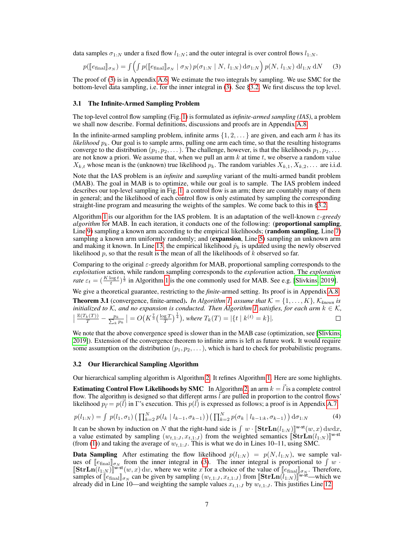data samples  $\sigma_{1:N}$  under a fixed flow  $l_{1:N}$ ; and the outer integral is over control flows  $l_{1:N}$ .

<span id="page-6-2"></span>
$$
p(\llbracket e_{\text{final}} \rrbracket_{\sigma_N}) = \int \left( \int p(\llbracket e_{\text{final}} \rrbracket_{\sigma_N} \mid \sigma_N) \, p(\sigma_{1:N} \mid N, \, l_{1:N}) \, \mathrm{d}\sigma_{1:N} \right) p(N, \, l_{1:N}) \, \mathrm{d}l_{1:N} \, \mathrm{d}N \tag{3}
$$

The proof of [\(3\)](#page-6-2) is in Appendix [A.6.](#page-16-0) We estimate the two integrals by sampling. We use SMC for the bottom-level data sampling, i.e. for the inner integral in [\(3\)](#page-6-2). See [§3.2.](#page-6-1) We first discuss the top level.

### <span id="page-6-0"></span>3.1 The Infinite-Armed Sampling Problem

The top-level control flow sampling (Fig. [1\)](#page-1-0) is formulated as *infinite-armed sampling (IAS)*, a problem we shall now describe. Formal definitions, discussions and proofs are in Appendix [A.8.](#page-17-0)

In the infinite-armed sampling problem, infinite arms  $\{1, 2, \ldots\}$  are given, and each arm k has its *likelihood*  $p_k$ . Our goal is to sample arms, pulling one arm each time, so that the resulting histograms converge to the distribution  $(p_1, p_2, \ldots)$ . The challenge, however, is that the likelihoods  $p_1, p_2, \ldots$ are not know a priori. We assume that, when we pull an arm  $k$  at time  $t$ , we observe a random value  $X_{k,t}$  whose mean is the (unknown) true likelihood  $p_k$ . The random variables  $X_{k,1}, X_{k,2}, \ldots$  are i.i.d.

Note that the IAS problem is an *infinite* and *sampling* variant of the multi-armed bandit problem (MAB). The goal in MAB is to optimize, while our goal is to sample. The IAS problem indeed describes our top-level sampling in Fig. [1:](#page-1-0) a control flow is an arm; there are countably many of them in general; and the likelihood of each control flow is only estimated by sampling the corresponding straight-line program and measuring the weights of the samples. We come back to this in [§3.2.](#page-6-1)

Algorithm [1](#page-7-1) is our algorithm for the IAS problem. It is an adaptation of the well-known ε*-greedy algorithm* for MAB. In each iteration, it conducts one of the following: (proportional sampling, Line [9\)](#page-7-1) sampling a known arm according to the empirical likelihoods; (**random sampling**, Line [7\)](#page-7-1) sampling a known arm uniformly randomly; and (expansion, Line [5\)](#page-7-1) sampling an unknown arm and making it known. In Line [13,](#page-7-1) the empirical likelihood  $\hat{p}_k$  is updated using the newly observed likelihood p, so that the result is the mean of all the likelihoods of  $\overline{k}$  observed so far.

Comparing to the original  $\varepsilon$ -greedy algorithm for MAB, proportional sampling corresponds to the *exploitation* action, while random sampling corresponds to the *exploration* action. The *exploration rate*  $\varepsilon_t = \left(\frac{K \log t}{t}\right)^{\frac{1}{3}}$  in Algorithm [1](#page-7-1) is the one commonly used for MAB. See e.g. [\[Slivkins, 2019\]](#page-10-13).

We give a theoretical guarantee, restricting to the *finite*-armed setting. Its proof is in Appendix [A.8.](#page-17-0)

**Theorem 3.1** (convergence, finite-armed). *In Algorithm [1,](#page-7-1) assume that*  $K = \{1, \ldots, K\}$ ,  $K_{known}$  *is initialized to* K, and no expansion is conducted. Then Algorithm [1](#page-7-1) satisfies, for each arm  $k \in K$ ,  $\frac{\mathbb{E}(T_k(T))}{T}-\frac{p_k}{\sum_k p_k}\big|=O\big(K^{\frac{7}{3}}\big(\frac{\log T}{T}\big)^{\frac{1}{4}}\big),$  where  $T_k(T)=|\{t\mid k^{(t)}=k\}|.$ 

We note that the above convergence speed is slower than in the MAB case (optimization, see [\[Slivkins,](#page-10-13) [2019\]](#page-10-13)). Extension of the convergence theorem to infinite arms is left as future work. It would require some assumption on the distribution  $(p_1, p_2, \dots)$ , which is hard to check for probabilistic programs.

#### <span id="page-6-1"></span>3.2 Our Hierarchical Sampling Algorithm

Our hierarchical sampling algorithm is Algorithm [2.](#page-7-1) It refines Algorithm [1.](#page-7-1) Here are some highlights.

<span id="page-6-3"></span>**Estimating Control Flow Likelihoods by SMC** In Algorithm [2,](#page-7-1) an arm  $k = \vec{l}$  is a complete control flow. The algorithm is designed so that different arms  $l$  are pulled in proportion to the control flows' likelihood  $p_l = p(l)$  in Γ's execution. This  $p(l)$  is expressed as follows; a proof is in Appendix [A.7.](#page-16-1)

$$
p(l_{1:N}) = \int p(l_1, \sigma_1) \left( \prod_{k=2}^{N} p(l_k \mid l_{k-1}, \sigma_{k-1}) \right) \left( \prod_{k=2}^{N} p(\sigma_k \mid l_{k-1:k}, \sigma_{k-1}) \right) d\sigma_{1:N}
$$
(4)

It can be shown by induction on N that the right-hand side is  $\int w \cdot [\textbf{Str} \textbf{Ln}(l_{1:N})]^{w \cdot \textbf{st}}(w, x) dw dx$ ,<br>a value estimated by sampling  $(w, t, x, x)$  from the weighted semantics  $\textbf{Ktr} \textbf{Ln}(l_{1:N})^{w \cdot \textbf{st}}$ a value estimated by sampling  $(w_{t,1:J}, x_{t,1:J})$  from the weighted semantics  $\left[\mathbf{\tilde{S}}tr\mathbf{Ln}(l_{1:N})\right]^{w-st}$ <br>(from (1)) and taking the average of  $w_{t+1}$ . This is what we do in I ines 10–11 using SMC (from [\(1\)](#page-4-1)) and taking the average of  $w_{t,1:J}$ . This is what we do in Lines 10–11, using SMC.

**Data Sampling** After estimating the flow likelihood  $p(l_{1:N}) = p(N, l_{1:N})$ , we sample values of  $\llbracket e_{\text{final}} \rrbracket_{\sigma_N}$  from the inner integral in [\(3\)](#page-6-2). The inner integral is proportional to  $\int w$ .<br>  $\llbracket \text{StrIn}(L, y) \rrbracket_{\mathbf{w}^{\text{st}}(w, x)}$  dw where we write x for a choice of the value of  $\llbracket e_{\text{c}} \rrbracket$ . Theref  $[\text{Str} \text{Ln}(l_{1:N})]^{W \text{-st}}(w, x)$  dw, where we write x for a choice of the value of  $[\![e_{\text{final}}]\!]_{\sigma_N}$ . Therefore,<br>samples of  $[\![e_{\text{c}}\!]$  can be given by sampling  $(w_{k+1}, r_{k+1})$  from  $[\text{Str} \text{Ln}(l_{1:N})]^{W \text{-st}}$ —which we samples of  $\left[\mathcal{C}_{\text{final}}\right]_{\sigma_N}$  can be given by sampling  $(w_{t,1:J}, x_{t,1:J})$  from  $\left[\text{Str} \text{Ln}(\tilde{l}_{1:N})\right]_{\text{w-st}}$ —which we already did in I ine 10—and weighting the sample values  $x_{t+1}$  the  $w_{t+1}$ . This instifies I already did in Line 10—and weighting the sample values  $x_{t,1:J}$  by  $w_{t,1:J}$ . This justifies Line [12.](#page-7-1)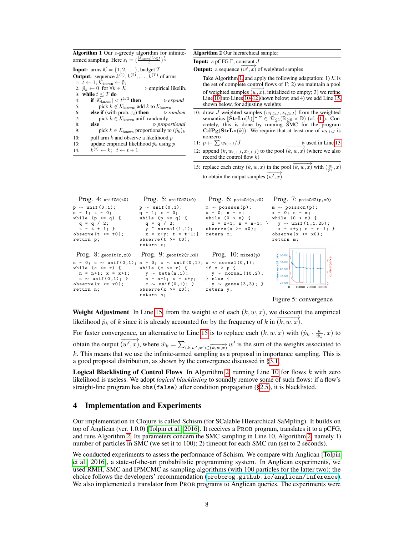<span id="page-7-1"></span>

| <b>Algorithm 1</b> Our $\varepsilon$ -greedy algorithm for infinite-                                                                                                                                                                                                                                                                                                                                                                                                | <b>Algorithm 2 Our hierarchical sampler</b>                                                                                                                                                                                                                                                                                                                                                                                                                                                                              |
|---------------------------------------------------------------------------------------------------------------------------------------------------------------------------------------------------------------------------------------------------------------------------------------------------------------------------------------------------------------------------------------------------------------------------------------------------------------------|--------------------------------------------------------------------------------------------------------------------------------------------------------------------------------------------------------------------------------------------------------------------------------------------------------------------------------------------------------------------------------------------------------------------------------------------------------------------------------------------------------------------------|
| armed sampling. Here $\varepsilon_t = (\frac{ \mathcal{K}_{\text{known}}  \log t}{t})^{\frac{1}{3}}$                                                                                                                                                                                                                                                                                                                                                                | <b>Input:</b> a pCFG $\Gamma$ , constant J                                                                                                                                                                                                                                                                                                                                                                                                                                                                               |
| <b>Input:</b> arms $K = \{1, 2, \dots\}$ , budget T<br><b>Output:</b> sequence $k^{(1)}, k^{(2)}, \ldots, k^{(T)}$ of arms<br>1: $t \leftarrow 1; \mathcal{K}_{\text{known}} \leftarrow \emptyset;$                                                                                                                                                                                                                                                                 | <b>Output:</b> a sequence $\overrightarrow{(w',x)}$ of weighted samples<br>Take Algorithm 1, and apply the following adaptation: 1) $K$ is<br>the set of complete control flows of $\Gamma$ ; 2) we maintain a pool                                                                                                                                                                                                                                                                                                      |
| 2: $\hat{p}_k \leftarrow 0$ for $\forall k \in \mathcal{K}$ $\triangleright$ empirical likelih.<br>3: while $t \leq T$ do<br><b>if</b> $ \mathcal{K}_{\text{known}}  < t^{2/3}$ then $\triangleright$ expand<br>4:<br>pick $k \notin \mathcal{K}_{\text{known}}$ , add k to $\mathcal{K}_{\text{known}}$<br>5:                                                                                                                                                      | of weighted samples $(w, x)$ , initialized to empty; 3) we refine<br>Line 10 into Lines $10-12$ shown below; and 4) we add Line 15,<br>shown below, for adjusting weights                                                                                                                                                                                                                                                                                                                                                |
| <b>else if</b> (with prob. $\varepsilon_t$ ) <b>then</b> $\triangleright$ <i>random</i><br>6:<br>pick $k \in \mathcal{K}_{\text{known}}$ unif. randomly<br>7:<br>8:<br>$\triangleright$ proportional<br>else<br>pick $k \in \mathcal{K}_{\text{known}}$ proportionally to $(\hat{p}_k)_k$<br>9:<br>pull arm $k$ and observe a likelihood $p$<br>10:<br>update empirical likelihood $\hat{p}_k$ using p<br>13:<br>$k^{(t)} \leftarrow k$ ; $t \leftarrow t+1$<br>14: | 10: draw J weighted samples $(w_{t,1:J}, x_{t,1:J})$ from the weighted<br>semantics $[\text{Str} \text{Ln}(k)]^{w-st} \in \mathcal{D}_{\leq 1}(\mathbb{R}_{\geq 0} \times \mathbb{D})$ (cf. (1)). Con-<br>cretely, this is done by running SMC for the program<br>$\text{CdPg}(\text{StrLn}(k))$ . We require that at least one of $w_{t,1:J}$ is<br>nonzero<br>11: $p \leftarrow \sum w_{t,1:J}/J$<br>$\triangleright$ used in Line 13<br>12: append $(k, w_{t,1:J}, x_{t,1:J})$ to the pool $(k, w, x)$ (where we also |
|                                                                                                                                                                                                                                                                                                                                                                                                                                                                     | record the control flow $k$ )<br>15: replace each entry $(k, w, x)$ in the pool $(k, w, x)$ with $(\frac{w}{\hat{n}_k}, x)$<br>to obtain the output samples $(w', x)$                                                                                                                                                                                                                                                                                                                                                    |

<span id="page-7-4"></span><span id="page-7-2"></span>

<span id="page-7-3"></span>Weight Adjustment In Line [15,](#page-7-1) from the weight w of each  $(k, w, x)$ , we discount the empirical likelihood  $\hat{p}_k$  of k since it is already accounted for by the frequency of k in  $\overline{(k, w, x)}$ .

For faster convergence, an alternative to Line [15](#page-7-1) is to replace each  $(k, w, x)$  with  $(\hat{p}_k \cdot \frac{w}{\hat{w}_k}, x)$  to obtain the output  $\overrightarrow{(w',x)}$ , where  $\hat{w}_k = \sum_{(k,w',x') \in (k,w,x)} w'$  is the sum of the weights associated to k. This means that we use the infinite-armed sampling as a proposal in importance sampling. This is a good proposal distribution, as shown by the convergence discussed in [§3.1,](#page-6-0)

**Logical Blacklisting of Control Flows** In Algorithm [2,](#page-7-1) running Line [10](#page-7-1) for flows  $k$  with zero likelihood is useless. We adopt *logical blacklisting* to soundly remove some of such flows: if a flow's straight-line program has obs(false) after condition propagation ([§2.5\)](#page-5-0), it is blacklisted.

## <span id="page-7-0"></span>4 Implementation and Experiments

Our implementation in Clojure is called Schism (for SCalable HIerarchical SaMpling). It builds on top of Anglican (ver. 1.0.0) [\[Tolpin et al., 2016\]](#page-10-0). It receives a PROB program, translates it to a pCFG, and runs Algorithm [2.](#page-7-1) Its parameters concern the SMC sampling in Line 10, Algorithm [2,](#page-7-1) namely 1) number of particles in SMC (we set it to 100); 2) timeout for each SMC run (set to 2 seconds).

We conducted experiments to assess the performance of Schism. We compare with Anglican [\[Tolpin](#page-10-0) [et al., 2016\]](#page-10-0), a state-of-the-art probabilistic programming system. In Anglican experiments, we used RMH, SMC and IPMCMC as sampling algorithms (with 100 particles for the latter two); the choice follows the developers' recommendation (<probprog.github.io/anglican/inference>). We also implemented a translator from PROB programs to Anglican queries. The experiments were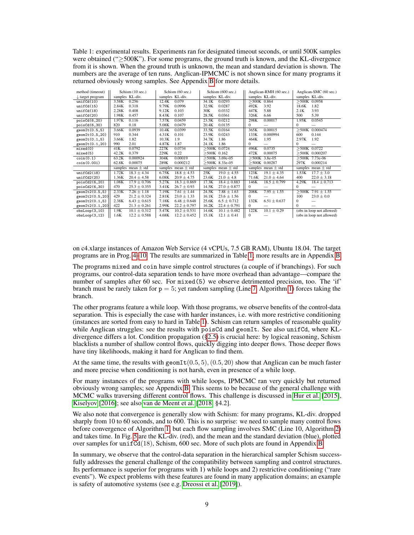<span id="page-8-0"></span>Table 1: experimental results. Experiments ran for designated timeout seconds, or until 500K samples were obtained ("≥500K"). For some programs, the ground truth is known, and the KL-divergence from it is shown. When the ground truth is unknown, the mean and standard deviation is shown. The numbers are the average of ten runs. Anglican-IPMCMC is not shown since for many programs it returned obviously wrong samples. See Appendix [B](#page-22-0) for more details.

| method (timeout)            | Schism (10 sec.)          | Schism (60 sec.)          | Schism (600 sec.)         | Anglican-RMH (60 sec.)   | Anglican-SMC (60 sec.)    |
|-----------------------------|---------------------------|---------------------------|---------------------------|--------------------------|---------------------------|
| $\downarrow$ target program | samples KL-div.           | samples KL-div.           | samples KL-div.           | samples KL-div.          | samples KL-div.           |
| unifCd(10)                  | 0.256<br>3.58K            | 0.079<br>12.4K            | 0.0293<br>34.1K           | $>500K$ 0.864            | $>500K$ 0.0958            |
| unifCd(15)                  | 0.318<br>2.84K            | 0.0996<br>9.79K           | 0.0287<br>32.9K           | 3.92<br>492K             | 18.6K<br>1.82             |
| unifCd(18)                  | 2.28K<br>0.408            | 9.12K<br>0.103            | 30K<br>0.0332             | 447K<br>5.88             | 2.1K<br>3.93              |
| unifCd(20)                  | 1.98K<br>0.457            | 0.107<br>8.43K            | 0.0361<br>28.5K           | 326K<br>6.66             | 5.39<br>500               |
| poisCd(6,20)                | 1.97K<br>0.116            | 7.57K<br>0.0459           | 0.0212<br>23.5K           | 0.00017<br>298K          | 0.0545<br>1.95K           |
| poisCd(6,30)                | 0.18<br>820               | 5.08K<br>0.0479           | 20.4K<br>0.0135           | 0                        | $\mathbf{0}$              |
| geomIt(0.5,5)               | 0.0939<br>3.66K           | 10.4K<br>0.0399           | 33.5K<br>0.0164           | 0.00015<br>365K          | $>500K$ 0.000474          |
| geomIt(0.5,20)              | 0.344<br>910              | 4.31K<br>0.101            | 23.9K<br>0.0243           | 133K<br>0.000994         | 600<br>0.144              |
| geomIt(0.1,5)               | 1.82<br>3.66K             | 1.9<br>10.3K              | 1.86<br>34.7K             | 1.95<br>464K             | 2.97K<br>1.92             |
| geomIt(0.1,20)              | 2.01<br>990               | 4.87K<br>1.87             | 1.86<br>24.1K             | 0                        | $\mathbf{0}$              |
| mixed(0)                    | 0.0792<br>41K             | 0.0734<br>227K            | $>500K$ 0.0724            | 0.0735<br>496K           | $>500K$ 0.0722            |
| mixed(5)                    | 42.2K<br>0.379            | 0.22<br>229K              | $>500K$ 0.162             | 472K<br>0.00075          | $>500K$ 0.000207          |
| $\operatorname{coin}(0.1)$  | 0.000924<br>63.2K         | 0.00019<br>304K           | $>500K$ 3.69e-05          | $>500K$ 3.8e-05          | $>500K$ 7.73e-06          |
| $\cosh(0.001)$              | 0.00075<br>62.8K          | 289K<br>0.000212          | $>500K$ 8.33e-05          | $>500K$ 0.00287          | 0.000214<br>297K          |
|                             | samples mean $\pm$ std    | samples mean $\pm$ std    | samples mean $\pm$ std    | samples mean $\pm$ std   | samples mean $\pm$ std    |
| unifCd2(18)                 | 1.72K<br>$18.3 \pm 4.34$  | 6.75K<br>$18.8 \pm 4.53$  | 25K<br>$19.0 \pm 4.55$    | 123K<br>$19.1 \pm 4.35$  | $17.7 \pm 3.0$<br>1.53K   |
| unifCd2(20)                 | $20.4 \pm 4.58$<br>1.36K  | 6.08K<br>$20.9 \pm 4.75$  | $21.0 \pm 4.8$<br>23.6K   | $21.0 \pm 4.64$<br>71.6K | 400<br>$22.0 \pm 3.18$    |
| poisCd2(6,20)               | 1.08K<br>$17.9 \pm 0.706$ | 5.27K<br>$18.3 \pm 0.869$ | 17.3K<br>$18.4 \pm 0.883$ | 146K<br>$18.5 \pm 0.799$ | 4.29K<br>$18.4 \pm 0.713$ |
| poisCd2(6,30)               | 470<br>$25.3 \pm 0.355$   | 3.41K<br>$26.7 \pm 0.93$  | 14.5K<br>$27.0 \pm 0.877$ | $\mathbf{0}$             | $\mathbf{0}$              |
| geomIt2(0.5,5)              | 2.33K<br>$7.26 \pm 1.18$  | 7.19K<br>$7.61 \pm 1.44$  | 24.5K<br>$7.88 \pm 1.63$  | $7.95 \pm 1.55$<br>208K  | $>500K$ 7.91 $\pm$ 1.55   |
| geomIt2(0.5, 20)            | 429<br>$21.2 \pm 0.324$   | 2.81K<br>$23.0 \pm 1.33$  | 16.1K<br>$23.6 \pm 1.56$  | $\Omega$                 | $23.0 \pm 0.0$<br>100     |
| geomIt2(0.1,5)              | 2.38K<br>$6.43 \pm 0.615$ | 7.18K<br>$6.48 \pm 0.648$ | 25.6K<br>$6.5 \pm 0.712$  | 132K<br>$6.51 \pm 0.637$ | $\Omega$                  |
| geomIt2(0.1,20)             | 422<br>$21.3 \pm 0.261$   | 2.99K<br>$22.2 \pm 0.797$ | 16.2K<br>$22.4 \pm 0.791$ | $\mathbf{0}$             | $\Omega$                  |
| obsLoop(3,10)               | $10.1 \pm 0.312$<br>1.9K  | 5.47K<br>$10.2 \pm 0.531$ | 14.6K<br>$10.1 \pm 0.482$ | $10.1 \pm 0.29$<br>122K  | (obs in loop not allowed) |
| obsLoop(3, 12)              | 1.6K<br>$12.2 \pm 0.588$  | 4.68K<br>$12.2 \pm 0.452$ | 15.1K<br>$12.1 \pm 0.41$  | $\Omega$                 | (obs in loop not allowed) |

on c4.xlarge instances of Amazon Web Service (4 vCPUs, 7.5 GB RAM), Ubuntu 18.04. The target programs are in Prog. [4–](#page-7-2)[10.](#page-7-3) The results are summarized in Table [1;](#page-8-0) more results are in Appendix [B.](#page-22-0)

The programs mixed and coin have simple control structures (a couple of if branchings). For such programs, our control-data separation tends to have more overhead than advantage—compare the number of samples after 60 sec. For mixed(5) we observe detrimented precision, too. The 'if' branch must be rarely taken for  $p = 5$ ; yet random sampling (Line [7,](#page-7-1) Algorithm [1\)](#page-7-1) forces taking the branch.

The other programs feature a while loop. With those programs, we observe benefits of the control-data separation. This is especially the case with harder instances, i.e. with more restrictive conditioning (instances are sorted from easy to hard in Table [1\)](#page-8-0). Schism can return samples of reasonable quality while Anglican struggles: see the results with poisCd and geomIt. See also unifCd, where KLdivergence differs a lot. Condition propagation  $(\S 2.5)$  is crucial here: by logical reasoning, Schism blacklists a number of shallow control flows, quickly digging into deeper flows. Those deeper flows have tiny likelihoods, making it hard for Anglican to find them.

At the same time, the results with geomIt $(0.5, 5), (0.5, 20)$  show that Anglican can be much faster and more precise when conditioning is not harsh, even in presence of a while loop.

For many instances of the programs with while loops, IPMCMC ran very quickly but returned obviously wrong samples; see Appendix [B.](#page-22-0) This seems to be because of the general challenge with MCMC walks traversing different control flows. This challenge is discussed in [Hur et al.](#page-9-5) [\[2015\]](#page-9-5), [Kiselyov](#page-10-6) [\[2016\]](#page-10-6); see also [van de Meent et al.](#page-10-7) [\[2018,](#page-10-7) §4.2].

We also note that convergence is generally slow with Schism: for many programs, KL-div. dropped sharply from 10 to 60 seconds, and to 600. This is no surprise: we need to sample many control flows before convergence of Algorithm [1,](#page-7-1) but each flow sampling involves SMC (Line 10, Algorithm [2\)](#page-7-1) and takes time. In Fig. [5](#page-7-4) are the KL-div. (red), and the mean and the standard deviation (blue), plotted over samples for unif  $Cd(18)$ , Schism, 600 sec. More of such plots are found in Appendix [B.](#page-22-0)

In summary, we observe that the control-data separation in the hierarchical sampler Schism successfully addresses the general challenge of the compatibility between sampling and control structures. Its performance is superior for programs with 1) while loops and 2) restrictive conditioning ("rare events"). We expect problems with these features are found in many application domains; an example is safety of automotive systems (see e.g. [Dreossi et al.](#page-9-8) [\[2019\]](#page-9-8)).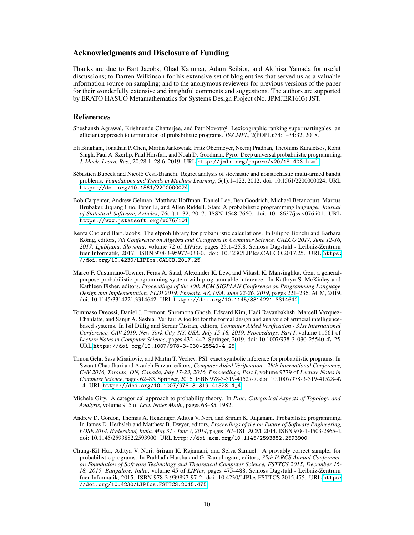## Acknowledgments and Disclosure of Funding

Thanks are due to Bart Jacobs, Ohad Kammar, Adam Scibior, and Akihisa Yamada for useful discussions; to Darren Wilkinson for his extensive set of blog entries that served us as a valuable information source on sampling; and to the anonymous reviewers for previous versions of the paper for their wonderfully extensive and insightful comments and suggestions. The authors are supported by ERATO HASUO Metamathematics for Systems Design Project (No. JPMJER1603) JST.

### References

- <span id="page-9-7"></span>Sheshansh Agrawal, Krishnendu Chatterjee, and Petr Novotný. Lexicographic ranking supermartingales: an efficient approach to termination of probabilistic programs. *PACMPL*, 2(POPL):34:1–34:32, 2018.
- <span id="page-9-1"></span>Eli Bingham, Jonathan P. Chen, Martin Jankowiak, Fritz Obermeyer, Neeraj Pradhan, Theofanis Karaletsos, Rohit Singh, Paul A. Szerlip, Paul Horsfall, and Noah D. Goodman. Pyro: Deep universal probabilistic programming. *J. Mach. Learn. Res.*, 20:28:1–28:6, 2019. URL <http://jmlr.org/papers/v20/18-403.html>.
- <span id="page-9-10"></span>Sébastien Bubeck and Nicolò Cesa-Bianchi. Regret analysis of stochastic and nonstochastic multi-armed bandit problems. *Foundations and Trends in Machine Learning*, 5(1):1–122, 2012. doi: 10.1561/2200000024. URL <https://doi.org/10.1561/2200000024>.
- <span id="page-9-0"></span>Bob Carpenter, Andrew Gelman, Matthew Hoffman, Daniel Lee, Ben Goodrich, Michael Betancourt, Marcus Brubaker, Jiqiang Guo, Peter Li, and Allen Riddell. Stan: A probabilistic programming language. *Journal of Statistical Software, Articles*, 76(1):1–32, 2017. ISSN 1548-7660. doi: 10.18637/jss.v076.i01. URL <https://www.jstatsoft.org/v076/i01>.
- <span id="page-9-3"></span>Kenta Cho and Bart Jacobs. The efprob library for probabilistic calculations. In Filippo Bonchi and Barbara König, editors, *7th Conference on Algebra and Coalgebra in Computer Science, CALCO 2017, June 12-16, 2017, Ljubljana, Slovenia*, volume 72 of *LIPIcs*, pages 25:1–25:8. Schloss Dagstuhl - Leibniz-Zentrum fuer Informatik, 2017. ISBN 978-3-95977-033-0. doi: 10.4230/LIPIcs.CALCO.2017.25. URL [https:](https://doi.org/10.4230/LIPIcs.CALCO.2017.25) [//doi.org/10.4230/LIPIcs.CALCO.2017.25](https://doi.org/10.4230/LIPIcs.CALCO.2017.25).
- <span id="page-9-4"></span>Marco F. Cusumano-Towner, Feras A. Saad, Alexander K. Lew, and Vikash K. Mansinghka. Gen: a generalpurpose probabilistic programming system with programmable inference. In Kathryn S. McKinley and Kathleen Fisher, editors, *Proceedings of the 40th ACM SIGPLAN Conference on Programming Language Design and Implementation, PLDI 2019, Phoenix, AZ, USA, June 22-26, 2019*, pages 221–236. ACM, 2019. doi: 10.1145/3314221.3314642. URL <https://doi.org/10.1145/3314221.3314642>.
- <span id="page-9-8"></span>Tommaso Dreossi, Daniel J. Fremont, Shromona Ghosh, Edward Kim, Hadi Ravanbakhsh, Marcell Vazquez-Chanlatte, and Sanjit A. Seshia. Verifai: A toolkit for the formal design and analysis of artificial intelligencebased systems. In Isil Dillig and Serdar Tasiran, editors, *Computer Aided Verification - 31st International Conference, CAV 2019, New York City, NY, USA, July 15-18, 2019, Proceedings, Part I*, volume 11561 of *Lecture Notes in Computer Science*, pages 432–442. Springer, 2019. doi: 10.1007/978-3-030-25540-4\\_25. URL [https://doi.org/10.1007/978-3-030-25540-4\\_25](https://doi.org/10.1007/978-3-030-25540-4_25).
- <span id="page-9-2"></span>Timon Gehr, Sasa Misailovic, and Martin T. Vechev. PSI: exact symbolic inference for probabilistic programs. In Swarat Chaudhuri and Azadeh Farzan, editors, *Computer Aided Verification - 28th International Conference, CAV 2016, Toronto, ON, Canada, July 17-23, 2016, Proceedings, Part I*, volume 9779 of *Lecture Notes in Computer Science*, pages 62–83. Springer, 2016. ISBN 978-3-319-41527-7. doi: 10.1007/978-3-319-41528-4\ \_4. URL [https://doi.org/10.1007/978-3-319-41528-4\\_4](https://doi.org/10.1007/978-3-319-41528-4_4).
- <span id="page-9-9"></span>Michele Giry. A categorical approach to probability theory. In *Proc. Categorical Aspects of Topology and Analysis*, volume 915 of *Lect. Notes Math.*, pages 68–85, 1982.
- <span id="page-9-6"></span>Andrew D. Gordon, Thomas A. Henzinger, Aditya V. Nori, and Sriram K. Rajamani. Probabilistic programming. In James D. Herbsleb and Matthew B. Dwyer, editors, *Proceedings of the on Future of Software Engineering, FOSE 2014, Hyderabad, India, May 31 - June 7, 2014*, pages 167–181. ACM, 2014. ISBN 978-1-4503-2865-4. doi: 10.1145/2593882.2593900. URL <http://doi.acm.org/10.1145/2593882.2593900>.
- <span id="page-9-5"></span>Chung-Kil Hur, Aditya V. Nori, Sriram K. Rajamani, and Selva Samuel. A provably correct sampler for probabilistic programs. In Prahladh Harsha and G. Ramalingam, editors, *35th IARCS Annual Conference on Foundation of Software Technology and Theoretical Computer Science, FSTTCS 2015, December 16- 18, 2015, Bangalore, India*, volume 45 of *LIPIcs*, pages 475–488. Schloss Dagstuhl - Leibniz-Zentrum fuer Informatik, 2015. ISBN 978-3-939897-97-2. doi: 10.4230/LIPIcs.FSTTCS.2015.475. URL [https:](https://doi.org/10.4230/LIPIcs.FSTTCS.2015.475) [//doi.org/10.4230/LIPIcs.FSTTCS.2015.475](https://doi.org/10.4230/LIPIcs.FSTTCS.2015.475).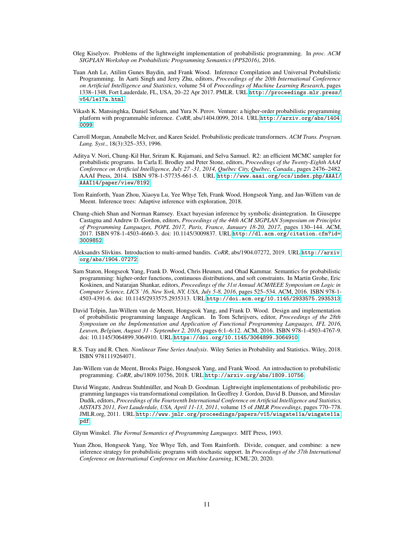- <span id="page-10-6"></span>Oleg Kiselyov. Problems of the lightweight implementation of probabilistic programming. In *proc. ACM SIGPLAN Workshop on Probabilistic Programming Semantics (PPS2016)*, 2016.
- <span id="page-10-3"></span>Tuan Anh Le, Atilim Gunes Baydin, and Frank Wood. Inference Compilation and Universal Probabilistic Programming. In Aarti Singh and Jerry Zhu, editors, *Proceedings of the 20th International Conference on Artificial Intelligence and Statistics*, volume 54 of *Proceedings of Machine Learning Research*, pages 1338–1348, Fort Lauderdale, FL, USA, 20–22 Apr 2017. PMLR. URL [http://proceedings.mlr.press/](http://proceedings.mlr.press/v54/le17a.html) [v54/le17a.html](http://proceedings.mlr.press/v54/le17a.html).
- <span id="page-10-1"></span>Vikash K. Mansinghka, Daniel Selsam, and Yura N. Perov. Venture: a higher-order probabilistic programming platform with programmable inference. *CoRR*, abs/1404.0099, 2014. URL [http://arxiv.org/abs/1404.](http://arxiv.org/abs/1404.0099) [0099](http://arxiv.org/abs/1404.0099).
- <span id="page-10-12"></span>Carroll Morgan, Annabelle McIver, and Karen Seidel. Probabilistic predicate transformers. *ACM Trans. Program. Lang. Syst.*, 18(3):325–353, 1996.
- <span id="page-10-8"></span>Aditya V. Nori, Chung-Kil Hur, Sriram K. Rajamani, and Selva Samuel. R2: an efficient MCMC sampler for probabilistic programs. In Carla E. Brodley and Peter Stone, editors, *Proceedings of the Twenty-Eighth AAAI Conference on Artificial Intelligence, July 27 -31, 2014, Québec City, Québec, Canada.*, pages 2476–2482. AAAI Press, 2014. ISBN 978-1-57735-661-5. URL [http://www.aaai.org/ocs/index.php/AAAI/](http://www.aaai.org/ocs/index.php/AAAI/AAAI14/paper/view/8192) [AAAI14/paper/view/8192](http://www.aaai.org/ocs/index.php/AAAI/AAAI14/paper/view/8192).
- Tom Rainforth, Yuan Zhou, Xiaoyu Lu, Yee Whye Teh, Frank Wood, Hongseok Yang, and Jan-Willem van de Meent. Inference trees: Adaptive inference with exploration, 2018.
- <span id="page-10-2"></span>Chung-chieh Shan and Norman Ramsey. Exact bayesian inference by symbolic disintegration. In Giuseppe Castagna and Andrew D. Gordon, editors, *Proceedings of the 44th ACM SIGPLAN Symposium on Principles of Programming Languages, POPL 2017, Paris, France, January 18-20, 2017*, pages 130–144. ACM, 2017. ISBN 978-1-4503-4660-3. doi: 10.1145/3009837. URL [http://dl.acm.org/citation.cfm?id=](http://dl.acm.org/citation.cfm?id=3009852) [3009852](http://dl.acm.org/citation.cfm?id=3009852).
- <span id="page-10-13"></span>Aleksandrs Slivkins. Introduction to multi-armed bandits. *CoRR*, abs/1904.07272, 2019. URL [http://arxiv.](http://arxiv.org/abs/1904.07272) [org/abs/1904.07272](http://arxiv.org/abs/1904.07272).
- <span id="page-10-11"></span>Sam Staton, Hongseok Yang, Frank D. Wood, Chris Heunen, and Ohad Kammar. Semantics for probabilistic programming: higher-order functions, continuous distributions, and soft constraints. In Martin Grohe, Eric Koskinen, and Natarajan Shankar, editors, *Proceedings of the 31st Annual ACM/IEEE Symposium on Logic in Computer Science, LICS '16, New York, NY, USA, July 5-8, 2016*, pages 525–534. ACM, 2016. ISBN 978-1- 4503-4391-6. doi: 10.1145/2933575.2935313. URL <http://doi.acm.org/10.1145/2933575.2935313>.
- <span id="page-10-0"></span>David Tolpin, Jan-Willem van de Meent, Hongseok Yang, and Frank D. Wood. Design and implementation of probabilistic programming language Anglican. In Tom Schrijvers, editor, *Proceedings of the 28th Symposium on the Implementation and Application of Functional Programming Languages, IFL 2016, Leuven, Belgium, August 31 - September 2, 2016*, pages 6:1–6:12. ACM, 2016. ISBN 978-1-4503-4767-9. doi: 10.1145/3064899.3064910. URL <https://doi.org/10.1145/3064899.3064910>.
- <span id="page-10-4"></span>R.S. Tsay and R. Chen. *Nonlinear Time Series Analysis*. Wiley Series in Probability and Statistics. Wiley, 2018. ISBN 9781119264071.
- <span id="page-10-7"></span>Jan-Willem van de Meent, Brooks Paige, Hongseok Yang, and Frank Wood. An introduction to probabilistic programming. *CoRR*, abs/1809.10756, 2018. URL <http://arxiv.org/abs/1809.10756>.
- <span id="page-10-5"></span>David Wingate, Andreas Stuhlmüller, and Noah D. Goodman. Lightweight implementations of probabilistic programming languages via transformational compilation. In Geoffrey J. Gordon, David B. Dunson, and Miroslav Dudík, editors, *Proceedings of the Fourteenth International Conference on Artificial Intelligence and Statistics, AISTATS 2011, Fort Lauderdale, USA, April 11-13, 2011*, volume 15 of *JMLR Proceedings*, pages 770–778. JMLR.org, 2011. URL [http://www.jmlr.org/proceedings/papers/v15/wingate11a/wingate11a.](http://www.jmlr.org/proceedings/papers/v15/wingate11a/wingate11a.pdf) [pdf](http://www.jmlr.org/proceedings/papers/v15/wingate11a/wingate11a.pdf).
- <span id="page-10-9"></span>Glynn Winskel. *The Formal Semantics of Programming Languages*. MIT Press, 1993.
- <span id="page-10-10"></span>Yuan Zhou, Hongseok Yang, Yee Whye Teh, and Tom Rainforth. Divide, conquer, and combine: a new inference strategy for probabilistic programs with stochastic support. In *Proceedings of the 37th International Conference on International Conference on Machine Learning*, ICML'20, 2020.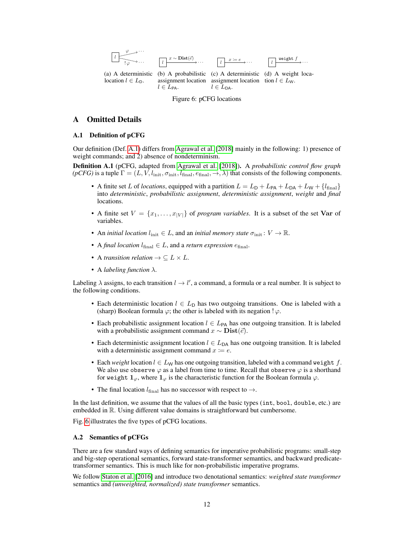<span id="page-11-3"></span>

# A Omitted Details

# <span id="page-11-0"></span>A.1 Definition of pCFG

Our definition (Def. [A.1\)](#page-11-2) differs from [Agrawal et al.](#page-9-7) [\[2018\]](#page-9-7) mainly in the following: 1) presence of weight commands; and 2) absence of nondeterminism.

<span id="page-11-2"></span>Definition A.1 (pCFG, adapted from [Agrawal et al.](#page-9-7) [\[2018\]](#page-9-7)). A *probabilistic control flow graph*  $(pCFG)$  is a tuple  $\Gamma = (L, V, l_{\text{init}}, \sigma_{\text{init}}, l_{\text{final}}, \rightarrow, \lambda)$  that consists of the following components.

- A finite set L of *locations*, equipped with a partition  $L = L_D + L_{PA} + L_{DA} + L_W + {l_{final}}$ into *deterministic*, *probabilistic assignment*, *deterministic assignment*, *weight* and *final* locations.
- A finite set  $V = \{x_1, \ldots, x_{|V|}\}\$  of *program variables*. It is a subset of the set **Var** of variables.
- An *initial location*  $l_{\text{init}} \in L$ , and an *initial memory state*  $\sigma_{\text{init}} : V \to \mathbb{R}$ .
- A *final location*  $l_{\text{final}} \in L$ , and a *return expression*  $e_{\text{final}}$ .
- A *transition relation*  $\rightarrow \subseteq L \times L$ .
- A *labeling function* λ.

Labeling  $\lambda$  assigns, to each transition  $l \to l'$ , a command, a formula or a real number. It is subject to the following conditions.

- Each deterministic location  $l \in L_D$  has two outgoing transitions. One is labeled with a (sharp) Boolean formula  $\varphi$ ; the other is labeled with its negation !  $\varphi$ .
- Each probabilistic assignment location  $l \in L_{PA}$  has one outgoing transition. It is labeled with a probabilistic assignment command  $x \sim \textbf{Dist}(\vec{e})$ .
- Each deterministic assignment location  $l \in L_{DA}$  has one outgoing transition. It is labeled with a deterministic assignment command  $x = e$ .
- Each *weight* location  $l \in L_W$  has one outgoing transition, labeled with a command weight f. We also use observe  $\varphi$  as a label from time to time. Recall that observe  $\varphi$  is a shorthand for weight  $1_{\varphi}$ , where  $1_{\varphi}$  is the characteristic function for the Boolean formula  $\varphi$ .
- The final location  $l_{\text{final}}$  has no successor with respect to  $\rightarrow$ .

In the last definition, we assume that the values of all the basic types (int, bool, double, etc.) are embedded in R. Using different value domains is straightforward but cumbersome.

Fig. [6](#page-11-3) illustrates the five types of pCFG locations.

### <span id="page-11-1"></span>A.2 Semantics of pCFGs

There are a few standard ways of defining semantics for imperative probabilistic programs: small-step and big-step operational semantics, forward state-transformer semantics, and backward predicatetransformer semantics. This is much like for non-probabilistic imperative programs.

We follow [Staton et al.](#page-10-11) [\[2016\]](#page-10-11) and introduce two denotational semantics: *weighted state transformer* semantics and *(unweighted, normalized) state transformer* semantics.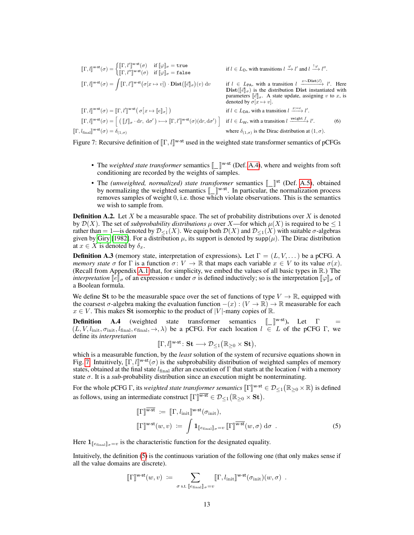<span id="page-12-1"></span>
$$
\llbracket \Gamma, l \rrbracket^{\mathbf{w}\cdot\mathbf{st}}(\sigma) = \begin{cases} \llbracket \Gamma, l' \rrbracket^{\mathbf{w}\cdot\mathbf{st}}(\sigma) & \text{if } \llbracket \varphi \rrbracket_{\sigma} = \text{true} & \text{if } l \in L_{\mathcal{D}}, \text{ with transitions } l \xrightarrow{\varphi} l' \text{ and } l \xrightarrow{\downarrow \varphi} l''. \end{cases}
$$
  
\n
$$
\llbracket \Gamma, l \rrbracket^{\mathbf{w}\cdot\mathbf{st}}(\sigma) = \int \llbracket \Gamma, l' \rrbracket^{\mathbf{w}\cdot\mathbf{st}}(\sigma[x \mapsto v]) \cdot \text{Dist}(\llbracket \vec{e} \rrbracket_{\sigma})(v) dv
$$
  
\n
$$
\llbracket \Gamma, l \rrbracket^{\mathbf{w}\cdot\mathbf{st}}(\sigma) = \llbracket \Gamma, l' \rrbracket^{\mathbf{w}\cdot\mathbf{st}}(\sigma[x \mapsto v]) \cdot \text{Dist}(\llbracket \vec{e} \rrbracket_{\sigma})(v) dv
$$
  
\n
$$
\llbracket \Gamma, l \rrbracket^{\mathbf{w}\cdot\mathbf{st}}(\sigma) = \llbracket \Gamma, l' \rrbracket^{\mathbf{w}\cdot\mathbf{st}}(\sigma[x \mapsto \llbracket e \rrbracket_{\sigma}) \rrbracket)
$$
  
\n
$$
\llbracket \Gamma, l \rrbracket^{\mathbf{w}\cdot\mathbf{st}}(\sigma) = \llbracket \Gamma, l' \rrbracket^{\mathbf{w}\cdot\mathbf{st}}(\sigma[x \mapsto \llbracket e \rrbracket_{\sigma}) \rrbracket)
$$
  
\n
$$
\llbracket \Gamma, l \rrbracket^{\mathbf{w}\cdot\mathbf{st}}(\sigma) = \llbracket (\llbracket f \rrbracket_{\sigma} \cdot dr, d\sigma') \longmapsto \llbracket \Gamma, l' \rrbracket^{\mathbf{w}\cdot\mathbf{st}}(\sigma)(dr, d\sigma') \rrbracket
$$
  
\n
$$
\llbracket \Gamma, l \rrbracket^{\mathbf{w}\cdot\mathbf{st}}(\sigma) = \llbracket (\llbracket f \rrbracket_{\sigma} \cdot dr, d\sigma') \longmapsto \llbracket \Gamma, l' \rrbracket^{\mathbf{w}\cdot\mathbf{st}}(\sigma)(dr, d\sigma') \rrbracket
$$
<

Figure 7: Recursive definition of  $[\![\Gamma, l]\!]^{w-st}$  used in the weighted state transformer semantics of pCFGs

- The *weighted state transformer* semantics  $\llbracket \rrbracket^{w-st}$  (Def. [A.4\)](#page-12-0), where and weights from soft conditioning are recorded by the weights of samples conditioning are recorded by the weights of samples.
- The *(unweighted, normalized) state transformer* semantics  $\llbracket \quad \rrbracket$  by normalizing the weighted semantics  $\llbracket \quad \rrbracket$ <sup>w-st</sup>. In particular, the • The (unweighted, normalized) state transformer semantics  $\llbracket \cdot \rrbracket^{\text{st}}$  (Def. [A.5\)](#page-13-1), obtained by normalizing the weighted semantics  $\llbracket \rrbracket^{w-st}$ . In particular, the normalization process removes samples of weight 0 i.e. those which violate observations. This is the semantics removes samples of weight 0, i.e. those which violate observations. This is the semantics we wish to sample from.

**Definition A.2.** Let X be a measurable space. The set of probability distributions over X is denoted by  $\mathcal{D}(X)$ . The set of *subprobability distributions*  $\mu$  over X—for which  $\mu(X)$  is required to be  $\leq 1$ rather than = 1—is denoted by  $\mathcal{D}_{\leq 1}(X)$ . We equip both  $\mathcal{D}(X)$  and  $\mathcal{D}_{\leq 1}(X)$  with suitable  $\sigma$ -algebras given by [Giry](#page-9-9) [\[1982\]](#page-9-9). For a distribution  $\mu$ , its support is denoted by  $\supp(\mu)$ . The Dirac distribution at  $x \in X$  is denoted by  $\delta_x$ .

**Definition A.3** (memory state, interpretation of expressions). Let  $\Gamma = (L, V, \dots)$  be a pCFG. A *memory state*  $\sigma$  for  $\Gamma$  is a function  $\sigma: V \to \mathbb{R}$  that maps each variable  $x \in V$  to its value  $\sigma(x)$ . (Recall from Appendix [A.1](#page-11-0) that, for simplicity, we embed the values of all basic types in R.) The *interpretation*  $\llbracket e \rrbracket_{\sigma}$  of an expression e under  $\sigma$  is defined inductively; so is the interpretation  $\llbracket \varphi \rrbracket_{\sigma}$  of a Boolean formula.

We define St to be the measurable space over the set of functions of type  $V \to \mathbb{R}$ , equipped with the coarsest  $\sigma$ -algebra making the evaluation function  $-(x) : (V \to \mathbb{R}) \to \mathbb{R}$  measurable for each  $x \in V$ . This makes St isomorphic to the product of |V|-many copies of R.

<span id="page-12-0"></span>**Definition A.4** (weighted state transformer semantics  $\lbrack \bbrack \rbrack^{\mathsf{w}\text{-st}}$ . Let  $\Gamma =$ <br> $(L, V, L, \sigma, \tau, L_{\mathsf{c}})$ ,  $e_{\mathsf{c}} \to \lambda$ ) be a pCEG. For each location  $L \in L$  of the pCEG.  $\Gamma$  we  $(L, V, l_{\text{init}}, \sigma_{\text{init}}, l_{\text{final}}, e_{\text{final}}, \rightarrow, \lambda)$  be a pCFG. For each location  $l \in L$  of the pCFG Γ, we define its *interpretation*

<span id="page-12-2"></span>
$$
[\![\Gamma,l]\!]^{\mathsf{w}\text{-st}}\colon \mathbf{St}\longrightarrow \mathcal{D}_{\leq 1}\big(\mathbb{R}_{\geq 0}\times \mathbf{St}\big),
$$

which is a measurable function, by the *least* solution of the system of recursive equations shown in Fig. [7.](#page-12-1) Intuitively,  $[[\Gamma, l]]^{w-st}(\sigma)$  is the subprobability distribution of weighted samples of memory states obtained at the final state  $l_c$ , after an execution of Γ that starts at the location *l* with a memory states, obtained at the final state  $l_{\text{final}}$  after an execution of Γ that starts at the location l with a memory state  $\sigma$ . It is a *sub*-probability distribution since an execution might be nonterminating.

For the whole pCFG  $\Gamma$ , its *weighted state transformer semantics*  $[\![\Gamma]\!]^{w-st} \in \mathcal{D}_{\leq 1}(\mathbb{R}_{\geq 0} \times \mathbb{R})$  is defined as follows, using an intermediate construct  $[\![\Gamma]\!]^{\overline{w-st}} \in \mathcal{D}_{\leq 1}(\mathbb{R}_{\geq 0} \times \mathbf{St}).$ 

$$
\llbracket \Gamma \rrbracket^{\overline{\mathbf{w}\cdot\mathbf{st}}} := \llbracket \Gamma, l_{\text{init}} \rrbracket^{\mathbf{w}\cdot\mathbf{st}}(\sigma_{\text{init}}), \llbracket \Gamma \rrbracket^{\mathbf{w}\cdot\mathbf{st}}(w, v) := \int \mathbf{1}_{\llbracket e_{\text{final}} \rrbracket_{\sigma} = v} \llbracket \Gamma \rrbracket^{\overline{\mathbf{w}\cdot\mathbf{st}}}(w, \sigma) \, d\sigma .
$$
\n(5)

Here  $\mathbf{1}_{\llbracket e_{\text{final}} \rrbracket_{\sigma}=v}$  is the characteristic function for the designated equality.

Intuitively, the definition [\(5\)](#page-12-2) is the continuous variation of the following one (that only makes sense if all the value domains are discrete).

$$
[\![\Gamma]\!]^{{\bf w}\text{-st}}(w,v) \; := \; \sum_{\sigma \text{ s.t. } [\![e_{\mathrm{final}}]\!]_\sigma = v} [\![\Gamma, l_{\mathrm{init}}]\!]^{{\bf w}\text{-st}}(\sigma_{\mathrm{init}})(w,\sigma) \enspace .
$$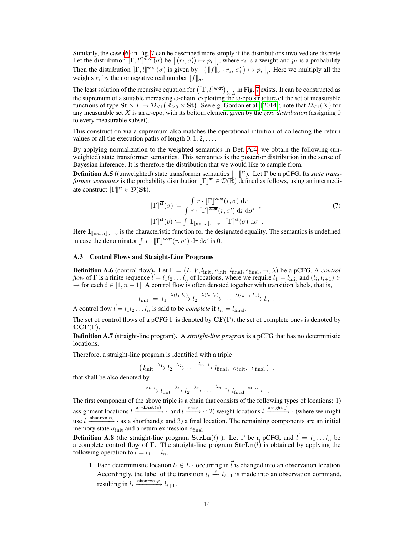Similarly, the case [\(6\)](#page-12-1) in Fig. [7](#page-12-1) can be described more simply if the distributions involved are discrete. Let the distribution  $[\![\Gamma, l']\!]^{\bar{w}\text{-st}}(\sigma)$  be  $[(r_i, \sigma'_i) \mapsto p_i]_i$ , where  $r_i$  is a weight and  $p_i$  is a probability. Then the distribution  $[\![\Gamma, t]\!]^{w-st}(\sigma)$  is given by  $[\![\;([\![f]\!]_{\sigma} \cdot r_i, \sigma'_i) \mapsto p_i]\!]_i$ . Here we multiply all the material sumplem  $[\![f]\!]_i$  for  $r_i$ ,  $\sigma'_i$   $\rangle \mapsto p_i$ ,  $\vdots$ . Here we multiply all the weights  $r_i$  by the nonnegative real number  $\llbracket f \rrbracket_{\sigma}$ .

The least solution of the recursive equation for  $([\Gamma, l]^{\text{w-st}})_{l \in L}$  in Fig. [7](#page-12-1) exists. It can be constructed as the summary of a suitable increasing  $\mu$  abein, evolution the  $\mu$  are structure of the set of measurable the supremum of a suitable increasing  $\omega$ -chain, exploiting the  $\omega$ -cpo structure of the set of measurable functions of type  $\mathbf{St} \times L \to \mathcal{D}_{\leq 1}(\mathbb{R}_{\geq 0} \times \mathbf{St})$ . See e.g. [Gordon et al.](#page-9-6) [\[2014\]](#page-9-6); note that  $\mathcal{D}_{\leq 1}(X)$  for any measurable set X is an ω-cpo, with its bottom element given by the *zero distribution* (assigning 0 to every measurable subset).

This construction via a supremum also matches the operational intuition of collecting the return values of all the execution paths of length  $0, 1, 2, \ldots$ .

By applying normalization to the weighted semantics in Def. [A.4,](#page-12-0) we obtain the following (unweighted) state transformer semantics. This semantics is the posterior distribution in the sense of Bayesian inference. It is therefore the distribution that we would like to sample from.

<span id="page-13-1"></span>**Definition A.5** ((unweighted) state transformer semantics  $\llbracket \cdot \rrbracket^{st}$ ). Let  $\Gamma$  be a pCFG. Its *state trans-*<br>*former semantics* is the probability distribution  $\llbracket \Gamma \rrbracket^{st} \in \mathcal{D}(\mathbb{R})$  defined as follows using *former semantics* is the probability distribution  $[\![\Gamma]\!]^{\text{st}} \in \mathcal{D}(\mathbb{R})$  defined as follows, using an intermediate construct  $[\![\Gamma]\!]^{\overline{\mathsf{st}}} \in \mathcal{D}(\mathbf{St}).$ 

$$
\llbracket \Gamma \rrbracket^{\overline{\mathbf{st}}}(\sigma) := \frac{\int r \cdot \llbracket \Gamma \rrbracket^{\overline{\mathbf{w}} \cdot \mathbf{st}}(r, \sigma) \, dr}{\int r \cdot \llbracket \Gamma \rrbracket^{\overline{\mathbf{w}} \cdot \mathbf{st}}(r, \sigma') \, dr \, d\sigma'} \; ; \tag{7}
$$
\n
$$
\llbracket \Gamma \rrbracket^{\mathbf{st}}(v) := \int \mathbf{1}_{\llbracket e_{\text{final}} \rrbracket_{\sigma} = v} \cdot \llbracket \Gamma \rrbracket^{\overline{\mathbf{st}}}(\sigma) \, d\sigma \, .
$$

Here  $\mathbf{1}_{\llbracket e_{\text{final}} \rrbracket_{\sigma}=v}$  is the characteristic function for the designated equality. The semantics is undefined in case the denominator  $\int r \cdot [\![\Gamma]\!]^{\overline{\mathbf{w}\cdot\mathbf{st}}}(r, \sigma') \, dr \, d\sigma'$  is 0.

## <span id="page-13-0"></span>A.3 Control Flows and Straight-Line Programs

**Definition A.6** (control flow). Let  $\Gamma = (L, V, l_{\text{init}}, \sigma_{\text{init}}, l_{\text{final}}, e_{\text{final}}, \rightarrow, \lambda)$  be a pCFG. A *control flow* of  $\Gamma$  is a finite sequence  $\vec{l} = l_1 l_2 \dots l_n$  of locations, where we require  $l_1 = l_{\text{init}}$  and  $(l_i, l_{i+1}) \in$  $\rightarrow$  for each  $i \in [1, n-1]$ . A control flow is often denoted together with transition labels, that is,

$$
l_{\text{init}} = l_1 \xrightarrow{\lambda(l_1, l_2)} l_2 \xrightarrow{\lambda(l_2, l_3)} \cdots \xrightarrow{\lambda(l_{n-1}, l_n)} l_n .
$$

A control flow  $\vec{l} = l_1 l_2 \dots l_n$  is said to be *complete* if  $l_n = l_{\text{final}}$ .

The set of control flows of a pCFG  $\Gamma$  is denoted by  $CF(\Gamma)$ ; the set of complete ones is denoted by  $CCF(\Gamma).$ 

Definition A.7 (straight-line program). A *straight-line program* is a pCFG that has no deterministic locations.

Therefore, a straight-line program is identified with a triple

$$
\left(l_{\text{init}} \xrightarrow{\lambda_1} l_2 \xrightarrow{\lambda_2} \cdots \xrightarrow{\lambda_{n-1}} l_{\text{final}}, \sigma_{\text{init}}, e_{\text{final}}\right) ,
$$

that shall be also denoted by

$$
\xrightarrow{\sigma_{\text{init}}} l_{\text{init}} \xrightarrow{\lambda_1} l_2 \xrightarrow{\lambda_2} \cdots \xrightarrow{\lambda_{n-1}} l_{\text{final}} \xrightarrow{e_{\text{final}}} .
$$

The first component of the above triple is a chain that consists of the following types of locations: 1) assignment locations  $l \xrightarrow{x \sim \text{Dist}(\vec{e})} \cdot$  and  $l \xrightarrow{x:=e} \cdot$ ; 2) weight locations  $l \xrightarrow{\text{weight } f} \cdot$  (where we might use  $l \xrightarrow{\text{observe }\varphi}$  · as a shorthand); and 3) a final location. The remaining components are an initial memory state  $\sigma_{\text{init}}$  and a return expression  $e_{\text{final}}$ .

**Definition A.8** (the straight-line program  $\textbf{StrLn}(\vec{l})$  ). Let  $\Gamma$  be a pCFG, and  $\vec{l} = l_1 \dots l_n$  be a complete control flow of Γ. The straight-line program  $\text{Str} \text{Ln}(\vec{l})$  is obtained by applying the following operation to  $l = l_1 \dots l_n$ .

1. Each deterministic location  $l_i \in L_D$  occurring in  $\vec{l}$  is changed into an observation location. Accordingly, the label of the transition  $l_i \stackrel{\varphi}{\to} l_{i+1}$  is made into an observation command, resulting in  $l_i \xrightarrow{\text{observe }\varphi} l_{i+1}.$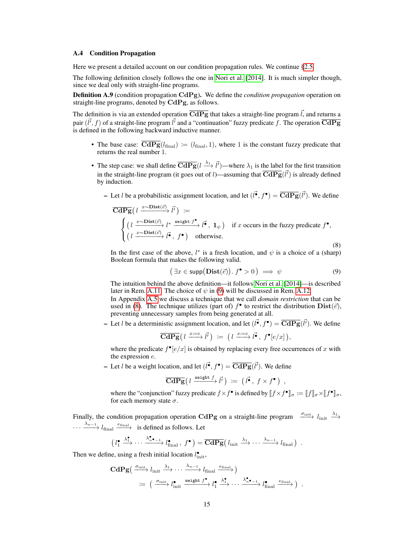#### <span id="page-14-0"></span>A.4 Condition Propagation

Here we present a detailed account on our condition propagation rules. We continue [§2.5.](#page-5-0)

The following definition closely follows the one in [Nori et al.](#page-10-8) [\[2014\]](#page-10-8). It is much simpler though, since we deal only with straight-line programs.

Definition A.9 (condition propagation CdPg). We define the *condition propagation* operation on straight-line programs, denoted by CdPg, as follows.

The definition is via an extended operation  $\overline{CdPg}$  that takes a straight-line program  $\vec{l}$ , and returns a pair  $(\vec{l'}, f)$  of a straight-line program  $\vec{l'}$  and a "continuation" fuzzy predicate f. The operation  $\overline{\text{CdPg}}$ is defined in the following backward inductive manner.

- The base case:  $\overline{CdPg}(l_{final}) := (l_{final}, 1)$ , where 1 is the constant fuzzy predicate that returns the real number 1.
- The step case: we shall define  $\overline{CdPg}(l \xrightarrow{\lambda_1} \vec{l'})$  —where  $\lambda_1$  is the label for the first transition in the straight-line program (it goes out of *l*)—assuming that  $\overline{CdPg}(\vec{l'})$  is already defined by induction.
	- Let *l* be a probabilistic assignment location, and let  $(l^{\vec{\bullet}}, f^{\bullet}) = \overline{\text{CdPg}}(l^{\vec{\prime}})$ . We define

$$
\overline{\text{CdPg}}\left(l \xrightarrow{x \sim \text{Dist}(\vec{e})} \vec{l'}\right) :=
$$
\n
$$
\begin{cases}\n\left(l \xrightarrow{x \sim \text{Dist}(\vec{e})} l^* \xrightarrow{\text{weight } f^{\bullet}}, 1_{\psi}\right) & \text{if } x \text{ occurs in the fuzzy predicate } f^{\bullet}, \\
\left(l \xrightarrow{x \sim \text{Dist}(\vec{e})} \vec{l^{\bullet}}, f^{\bullet}\right) & \text{otherwise.} \n\end{cases}
$$

<span id="page-14-2"></span>(8)

In the first case of the above,  $l^*$  is a fresh location, and  $\psi$  is a choice of a (sharp) Boolean formula that makes the following valid.

<span id="page-14-1"></span>
$$
(\exists x \in \text{supp}(\text{Dist}(\vec{e})). f^{\bullet} > 0) \implies \psi \tag{9}
$$

,

The intuition behind the above definition—it follows [Nori et al.](#page-10-8) [\[2014\]](#page-10-8)—is described later in Rem. [A.11.](#page-15-1) The choice of  $\psi$  in [\(9\)](#page-14-1) will be discussed in Rem. [A.12.](#page-15-2)

In Appendix [A.5](#page-15-0) we discuss a technique that we call *domain restriction* that can be used in [\(8\)](#page-14-2). The technique utilizes (part of)  $f^{\bullet}$  to restrict the distribution  $Dist(\vec{e})$ , preventing unnecessary samples from being generated at all.

- Let *l* be a deterministic assignment location, and let  $(l^{\vec{\bullet}}, f^{\bullet}) = \overline{\text{CdPg}}(l^{\vec{\prime}})$ . We define

$$
\overline{\mathbf{CdPg}}\bigl(l \xrightarrow{x:=e} \vec{l'}\bigr) \; := \; \bigl(l \xrightarrow{x:=e} \vec{l'}\,,\ f^{\bullet}[e/x]\bigr),
$$

where the predicate  $f^{\bullet}[e/x]$  is obtained by replacing every free occurrences of x with the expression e.

- Let *l* be a weight location, and let  $(l^{\bullet}, f^{\bullet}) = \overline{\text{CdPg}}(l^{\prime})$ . We define

$$
\overline{\mathbf{CdPg}}\big(l\xrightarrow{\mathsf{weight}\;f}\vec{l'}\big)\;:=\;\big(\;\vec{l'}\;,\;f\times f^\bullet\,\big)
$$

where the "conjunction" fuzzy predicate  $f \times f^{\bullet}$  is defined by  $[[f \times f^{\bullet}]]_{\sigma} := [[f]]_{\sigma} \times [[f^{\bullet}]]_{\sigma}$ , for each memory state  $\sigma$ for each memory state  $\sigma$ .

Finally, the condition propagation operation CdPg on a straight-line program  $\frac{\sigma_{\text{init}}}{\sigma_{\text{init}}}$   $l_{\text{init}} \stackrel{\lambda_1}{\longrightarrow}$  $\cdots \longrightarrow_{h-1} l_{\text{final}} \xrightarrow{e_{\text{final}}}$  is defined as follows. Let

$$
\left(l_1^{\bullet} \xrightarrow{\lambda_1^{\bullet}} \cdots \xrightarrow{\lambda_{n}^{\bullet} \bullet_{-1}} l_{\text{final}}^{\bullet}, f^{\bullet}\right) = \overline{\mathbf{CdPg}}\left(l_{\text{init}} \xrightarrow{\lambda_1} \cdots \xrightarrow{\lambda_{n-1}} l_{\text{final}}\right) .
$$

Then we define, using a fresh initial location  $l_{\text{init}}^{\bullet}$ ,

$$
\begin{array}{l}\n\textbf{CdPg} \left( \xrightarrow{\sigma_{\text{init}}} l_{\text{init}} \xrightarrow{\lambda_1} \cdots \xrightarrow{\lambda_{n-1}} l_{\text{final}} \xrightarrow{e_{\text{final}}} \right) \\
\qquad \coloneqq \left( \xrightarrow{\sigma_{\text{init}}} l_{\text{init}}^{\bullet} \xrightarrow{\text{weight}} j^{\bullet} \right) l_1^{\bullet} \xrightarrow{\lambda_1^{\bullet} \bullet} \cdots \xrightarrow{\lambda_n^{\bullet} \bullet -1} l_{\text{final}}^{\bullet} \xrightarrow{e_{\text{final}}} \right) .\n\end{array}
$$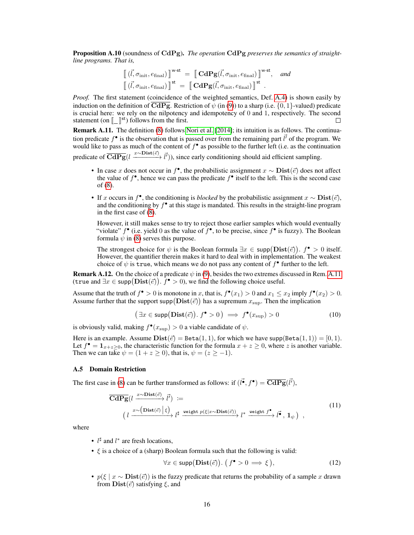Proposition A.10 (soundness of CdPg). *The operation* CdPg *preserves the semantics of straightline programs. That is,*

$$
\begin{aligned}\n\left[ (\vec{l}, \sigma_{\text{init}}, e_{\text{final}}) \right]^{\text{w-st}} &= \left[ \mathbf{C} \mathbf{d} \mathbf{P} \mathbf{g} (\vec{l}, \sigma_{\text{init}}, e_{\text{final}}) \right]^{\text{w-st}}, \quad \text{and} \\
\left[ (\vec{l}, \sigma_{\text{init}}, e_{\text{final}}) \right]^{\text{st}} &= \left[ \mathbf{C} \mathbf{d} \mathbf{P} \mathbf{g} (\vec{l}, \sigma_{\text{init}}, e_{\text{final}}) \right]^{\text{st}}.\n\end{aligned}
$$

*Proof.* The first statement (coincidence of the weighted semantics, Def. [A.4\)](#page-12-0) is shown easily by induction on the definition of  $\overline{CdPg}$ . Restriction of  $\psi$  (in [\(9\)](#page-14-1)) to a sharp (i.e. {0, 1}-valued) predicate is crucial here: we rely on the nilpotency and idempotency of  $0$  and  $1$ , respectively. The second statement (on  $\left[\begin{matrix}\end{matrix}\right]$ <sup>st</sup>) follows from the first. П

<span id="page-15-1"></span>Remark A.11. The definition [\(8\)](#page-14-2) follows [Nori et al.](#page-10-8) [\[2014\]](#page-10-8); its intuition is as follows. The continuation predicate  $f^{\bullet}$  is the observation that is passed over from the remaining part  $\vec{l'}$  of the program. We would like to pass as much of the content of  $f^{\bullet}$  as possible to the further left (i.e. as the continuation predicate of  $\overline{CdPg}(l \xrightarrow{x \sim Dist(\vec{e})} \vec{l'})$ ), since early conditioning should aid efficient sampling.

- In case x does not occur in  $f^{\bullet}$ , the probabilistic assignment  $x \sim \text{Dist}(\vec{e})$  does not affect the value of  $f^{\bullet}$ , hence we can pass the predicate  $f^{\bullet}$  itself to the left. This is the second case of [\(8\)](#page-14-2).
- If x occurs in  $f^{\bullet}$ , the conditioning is *blocked* by the probabilistic assignment  $x \sim \text{Dist}(\vec{e})$ , and the conditioning by  $f^{\bullet}$  at this stage is mandated. This results in the straight-line program in the first case of [\(8\)](#page-14-2).

However, it still makes sense to try to reject those earlier samples which would eventually "violate"  $f^{\bullet}$  (i.e. yield 0 as the value of  $f^{\bullet}$ , to be precise, since  $f^{\bullet}$  is fuzzy). The Boolean formula  $\psi$  in [\(8\)](#page-14-2) serves this purpose.

The strongest choice for  $\psi$  is the Boolean formula  $\exists x \in \text{supp}(\text{Dist}(\vec{e}))$ .  $f^{\bullet} > 0$  itself. However, the quantifier therein makes it hard to deal with in implementation. The weakest choice of  $\psi$  is true, which means we do not pass any content of  $f^{\bullet}$  further to the left.

<span id="page-15-2"></span>**Remark A.12.** On the choice of a predicate  $\psi$  in [\(9\)](#page-14-1), besides the two extremes discussed in Rem. [A.11](#page-15-1) (true and  $\exists x \in \mathsf{supp}(\mathbf{Dist}(\vec{e}))$ .  $\hat{f}^{\bullet} > 0$ ), we find the following choice useful.

Assume that the truth of  $f^{\bullet} > 0$  is monotone in x, that is,  $f^{\bullet}(x_1) > 0$  and  $x_1 \le x_2$  imply  $f^{\bullet}(x_2) > 0$ . Assume further that the support supp $(Dist(\vec{e}))$  has a supremum  $x_{\text{sup}}$ . Then the implication

$$
(\exists x \in \text{supp}(\text{Dist}(\vec{e})).\, f^{\bullet} > 0) \implies f^{\bullet}(x_{\sup}) > 0 \tag{10}
$$

is obviously valid, making  $f^{\bullet}(x_{\text{sup}}) > 0$  a viable candidate of  $\psi$ .

Here is an example. Assume  $\text{Dist}(\vec{e}) = \text{Beta}(1, 1)$ , for which we have supp(Beta $(1, 1)$ ) = [0, 1). Let  $f^{\bullet} = \mathbf{1}_{x+z \geq 0}$ , the characteristic function for the formula  $x + z \geq 0$ , where z is another variable. Then we can take  $\psi = (1 + z \ge 0)$ , that is,  $\psi = (z \ge -1)$ .

## <span id="page-15-0"></span>A.5 Domain Restriction

The first case in [\(8\)](#page-14-2) can be further transformed as follows: if  $(\vec{r}, f^{\bullet}) = \overline{\text{CdPg}}(\vec{l}^{\prime})$ ,

$$
\overline{\mathbf{CdPg}}(l \xrightarrow{x \sim \mathbf{Dist}(\vec{e})} \vec{l'}) :=
$$
\n
$$
\left(l \xrightarrow{x \sim (\mathbf{Dist}(\vec{e}) \mid \xi)} l^{\sharp} \xrightarrow{\mathbf{weight} \ p(\xi | x \sim \mathbf{Dist}(\vec{e}))} l^* \xrightarrow{\mathbf{weight} \ f^{\bullet}, \ \mathbf{1}_{\psi}} \mathbf{1}_{\psi}\right),
$$
\n
$$
(11)
$$

where

- $l^{\sharp}$  and  $l^*$  are fresh locations,
- $\xi$  is a choice of a (sharp) Boolean formula such that the following is valid:

<span id="page-15-3"></span>
$$
\forall x \in \text{supp}(\text{Dist}(\vec{e})) \colon \big( f^{\bullet} > 0 \implies \xi \big), \tag{12}
$$

•  $p(\xi | x \sim \text{Dist}(\vec{e}))$  is the fuzzy predicate that returns the probability of a sample x drawn from  $\text{Dist}(\vec{e})$  satisfying  $\xi$ , and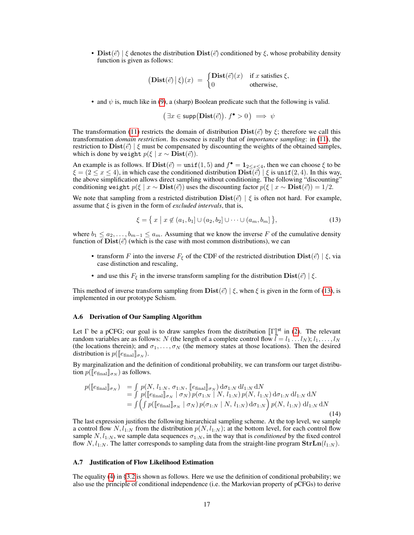• Dist( $\vec{e}$ ) |  $\xi$  denotes the distribution Dist( $\vec{e}$ ) conditioned by  $\xi$ , whose probability density function is given as follows:

$$
(\mathbf{Dist}(\vec{e}) | \xi)(x) = \begin{cases} \mathbf{Dist}(\vec{e})(x) & \text{if } x \text{ satisfies } \xi, \\ 0 & \text{otherwise,} \end{cases}
$$

• and  $\psi$  is, much like in [\(9\)](#page-14-1), a (sharp) Boolean predicate such that the following is valid.

$$
(\exists x \in \text{supp}(\text{Dist}(\vec{e})). f^{\bullet} > 0) \implies \psi
$$

The transformation [\(11\)](#page-15-3) restricts the domain of distribution  $Dist(\vec{e})$  by  $\xi$ ; therefore we call this transformation *domain restriction*. Its essence is really that of *importance sampling*: in [\(11\)](#page-15-3), the restriction to  $Dist(\vec{e}) | \xi$  must be compensated by discounting the weights of the obtained samples, which is done by weight  $p(\xi | x \sim \text{Dist}(\vec{e}))$ .

An example is as follows. If  $\text{Dist}(\vec{e}) = \text{unif}(1, 5)$  and  $f^{\bullet} = 1_{2 \le x \le 4}$ , then we can choose  $\xi$  to be  $\xi = (2 \le x \le 4)$ , in which case the conditioned distribution  $\text{Dis}\{\vec{e}\}\mid \xi$  is unif(2,4). In this way, the above simplification allows direct sampling without conditioning. The following "discounting" conditioning weight  $p(\xi | x \sim \text{Dist}(\vec{e}))$  uses the discounting factor  $p(\xi | x \sim \text{Dist}(\vec{e})) = 1/2$ .

We note that sampling from a restricted distribution  $\text{Dist}(\vec{e}) \mid \xi$  is often not hard. For example, assume that  $\xi$  is given in the form of *excluded intervals*, that is,

<span id="page-16-2"></span>
$$
\xi = \{ x \mid x \notin (a_1, b_1] \cup (a_2, b_2] \cup \dots \cup (a_m, b_m] \},\tag{13}
$$

where  $b_1 \le a_2, \ldots, b_{m-1} \le a_m$ . Assuming that we know the inverse F of the cumulative density function of  $\text{Dist}(\vec{e})$  (which is the case with most common distributions), we can

- transform F into the inverse  $F_{\xi}$  of the CDF of the restricted distribution  $\text{Dist}(\vec{e}) | \xi$ , via case distinction and rescaling,
- and use this  $F_{\xi}$  in the inverse transform sampling for the distribution  $\text{Dist}(\vec{e}) \mid \xi$ .

This method of inverse transform sampling from  $\textbf{Dist}(\vec{e}) \mid \xi$ , when  $\xi$  is given in the form of [\(13\)](#page-16-2), is implemented in our prototype Schism.

#### <span id="page-16-0"></span>A.6 Derivation of Our Sampling Algorithm

Let Γ be a pCFG; our goal is to draw samples from the distribution  $[\![\Gamma]\!]^{\text{st}}$  in [\(2\)](#page-4-2). The relevant<br>random variables are as follows: N (the length of a complete control flow  $I = I_1, I_N$ ):  $I_2, I_N$ random variables are as follows: N (the length of a complete control flow  $l = l_1 \dots l_N$ );  $l_1, \dots, l_N$ (the locations therein); and  $\sigma_1, \ldots, \sigma_N$  (the memory states at those locations). Then the desired distribution is  $p(\ell_{\text{final}}|_{\sigma_N}).$ 

By marginalization and the definition of conditional probability, we can transform our target distribution  $p(\llbracket e_{\text{final}} \rrbracket_{\sigma_N})$  as follows.

$$
p([\![e_{\text{final}}]\!]_{\sigma_N}) = \int p(N, l_{1:N}, \sigma_{1:N}, [\![e_{\text{final}}]\!]_{\sigma_N}) d\sigma_{1:N} dl_{1:N} dN = \int p([\![e_{\text{final}}]\!]_{\sigma_N} |\sigma_N) p(\sigma_{1:N} | N, l_{1:N}) p(N, l_{1:N}) d\sigma_{1:N} dl_{1:N} dN = \int \left( \int p([\![e_{\text{final}}]\!]_{\sigma_N} |\sigma_N) p(\sigma_{1:N} | N, l_{1:N}) d\sigma_{1:N} \right) p(N, l_{1:N}) dl_{1:N} dN
$$
\n(14)

The last expression justifies the following hierarchical sampling scheme. At the top level, we sample a control flow  $N, l_{1:N}$  from the distribution  $p(N, l_{1:N})$ ; at the bottom level, for each control flow sample  $N, l_{1:N}$ , we sample data sequences  $\sigma_{1:N}$ , in the way that is *conditioned* by the fixed control flow  $N, l_{1:N}$ . The latter corresponds to sampling data from the straight-line program  $\text{Str} \text{Ln}(l_{1:N})$ .

### <span id="page-16-1"></span>A.7 Justification of Flow Likelihood Estimation

The equality [\(4\)](#page-6-3) in [§3.2](#page-6-1) is shown as follows. Here we use the definition of conditional probability; we also use the principle of conditional independence (i.e. the Markovian property of pCFGs) to derive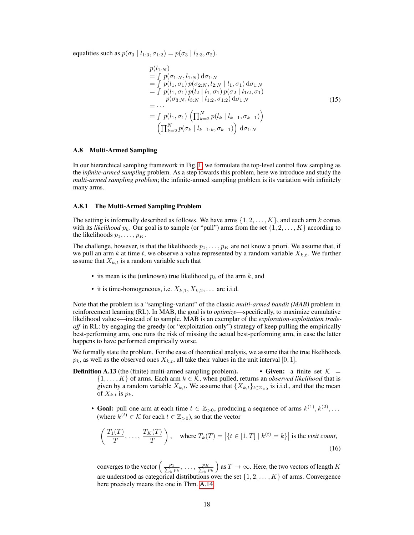equalities such as  $p(\sigma_3 | l_{1:3}, \sigma_{1:2}) = p(\sigma_3 | l_{2:3}, \sigma_2).$ 

$$
p(l_{1:N})
$$
  
=  $\int p(\sigma_{1:N}, l_{1:N}) d\sigma_{1:N}$   
=  $\int p(l_1, \sigma_1) p(\sigma_{2:N}, l_{2:N} | l_1, \sigma_1) d\sigma_{1:N}$   
=  $\int p(l_1, \sigma_1) p(l_2 | l_1, \sigma_1) p(\sigma_2 | l_{1:2}, \sigma_1)$   
=  $\cdots$   
=  $\int p(l_1, \sigma_1) \left( \prod_{k=2}^{N} p(l_k | l_{k-1}, \sigma_{k-1}) \right)$   
 $\left( \prod_{k=2}^{N} p(\sigma_k | l_{k-1:k}, \sigma_{k-1}) \right) d\sigma_{1:N}$  (15)

#### <span id="page-17-0"></span>A.8 Multi-Armed Sampling

In our hierarchical sampling framework in Fig. [1,](#page-1-0) we formulate the top-level control flow sampling as the *infinite-armed sampling* problem. As a step towards this problem, here we introduce and study the *multi-armed sampling problem*; the infinite-armed sampling problem is its variation with infinitely many arms.

#### A.8.1 The Multi-Armed Sampling Problem

The setting is informally described as follows. We have arms  $\{1, 2, \ldots, K\}$ , and each arm k comes with its *likelihood*  $p_k$ . Our goal is to sample (or "pull") arms from the set  $\{1, 2, \ldots, K\}$  according to the likelihoods  $p_1, \ldots, p_K$ .

The challenge, however, is that the likelihoods  $p_1, \ldots, p_K$  are not know a priori. We assume that, if we pull an arm k at time t, we observe a value represented by a random variable  $X_{k,t}$ . We further assume that  $X_{k,t}$  is a random variable such that

- its mean is the (unknown) true likelihood  $p_k$  of the arm k, and
- it is time-homogeneous, i.e.  $X_{k,1}, X_{k,2}, \ldots$  are i.i.d.

Note that the problem is a "sampling-variant" of the classic *multi-armed bandit (MAB)* problem in reinforcement learning (RL). In MAB, the goal is to *optimize*—specifically, to maximize cumulative likelihood values—instead of to sample. MAB is an exemplar of the *exploration-exploitation tradeoff* in RL: by engaging the greedy (or "exploitation-only") strategy of keep pulling the empirically best-performing arm, one runs the risk of missing the actual best-performing arm, in case the latter happens to have performed empirically worse.

We formally state the problem. For the ease of theoretical analysis, we assume that the true likelihoods  $p_k$ , as well as the observed ones  $X_{k,t}$ , all take their values in the unit interval [0, 1].

- **Definition A.13** (the (finite) multi-armed sampling problem). Given: a finite set  $K =$  $\{1, \ldots, K\}$  of arms. Each arm  $k \in \mathcal{K}$ , when pulled, returns an *observed likelihood* that is given by a random variable  $X_{k,t}$ . We assume that  $\{X_{k,t}\}_{t\in\mathbb{Z}_{>0}}$  is i.i.d., and that the mean of  $X_{k,t}$  is  $p_k$ .
	- Goal: pull one arm at each time  $t \in \mathbb{Z}_{>0}$ , producing a sequence of arms  $k^{(1)}, k^{(2)}, \ldots$ (where  $k^{(t)} \in \mathcal{K}$  for each  $t \in \mathbb{Z}_{>0}$ ), so that the vector

<span id="page-17-1"></span>
$$
\left(\frac{T_1(T)}{T}, \dots, \frac{T_K(T)}{T}\right), \quad \text{where } T_k(T) = |\{t \in [1, T] \mid k^{(t)} = k\}| \text{ is the } \text{visit count},\tag{16}
$$

converges to the vector  $\left(\frac{p_1}{\sum_k p_k}, \dots, \frac{p_K}{\sum_k p_k}\right)$  as  $T \to \infty$ . Here, the two vectors of length  $K$ are understood as categorical distributions over the set  $\{1, 2, \ldots, K\}$  of arms. Convergence here precisely means the one in Thm. [A.14.](#page-18-0)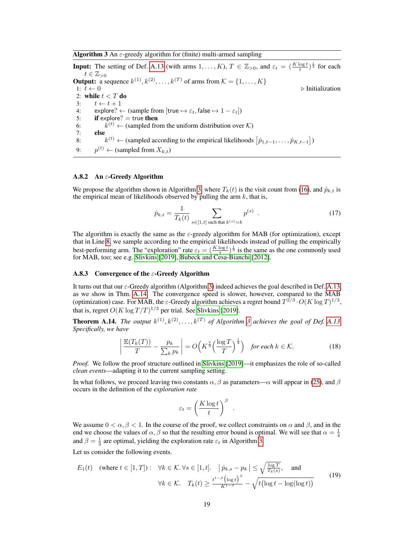<span id="page-18-1"></span>**Algorithm 3** An  $\varepsilon$ -greedy algorithm for (finite) multi-armed sampling

**Input:** The setting of Def. [A.13](#page-0-4) (with arms  $1, \ldots, K$ ),  $T \in \mathbb{Z}_{>0}$ , and  $\varepsilon_t = \left(\frac{K \log t}{t}\right)^{\frac{1}{3}}$  for each  $t \in \mathbb{Z}_{>0}$ **Output:** a sequence  $k^{(1)}, k^{(2)}, \ldots, k^{(T)}$  of arms from  $\mathcal{K} = \{1, \ldots, K\}$ 1:  $t \leftarrow 0$  . Initialization 2: while  $t < T$  do 3:  $t \leftarrow t + 1$ 4: explore? ← (sample from [true  $\mapsto \varepsilon_t$ , false  $\mapsto 1 - \varepsilon_t$ ])<br>5: **if** explore? = true **then**  $if$  explore?  $=$  true then 6: k  $k^{(t)} \leftarrow$  (sampled from the uniform distribution over K) 7: else 8: k  $\mathbf{a}^{(t)} \leftarrow$  (sampled according to the empirical likelihoods  $\left[ \hat{p}_{1,t-1}, \ldots, \hat{p}_{K,t-1} \right]$ ) 9:  $p^{(t)} \leftarrow$  (sampled from  $X_{k,t}$ )

## A.8.2 An  $\varepsilon$ -Greedy Algorithm

We propose the algorithm shown in Algorithm [3,](#page-18-1) where  $T_k(t)$  is the visit count from [\(16\)](#page-17-1), and  $\hat{p}_{k,t}$  is the empirical mean of likelihoods observed by pulling the arm  $k$ , that is,

$$
\hat{p}_{k,t} = \frac{1}{T_k(t)} \sum_{s \in [1,t] \text{ such that } k^{(s)} = k} p^{(s)}.
$$
\n(17)

The algorithm is exactly the same as the  $\varepsilon$ -greedy algorithm for MAB (for optimization), except that in Line [8,](#page-18-1) we sample according to the empirical likelihoods instead of pulling the empirically best-performing arm. The "exploration" rate  $\varepsilon_t = (\frac{K \log t}{t})^{\frac{1}{3}}$  is the same as the one commonly used for MAB, too; see e.g. [Slivkins](#page-10-13) [\[2019\]](#page-10-13), [Bubeck and Cesa-Bianchi](#page-9-10) [\[2012\]](#page-9-10).

## A.8.3 Convergence of the  $\varepsilon$ -Greedy Algorithm

It turns out that our  $\varepsilon$ -Greedy algorithm (Algorithm [3\)](#page-18-1) indeed achieves the goal described in Def. [A.13,](#page-0-4) as we show in Thm. [A.14.](#page-18-0) The convergence speed is slower, however, compared to the MAB (optimization) case. For MAB, the  $\varepsilon$ -Greedy algorithm achieves a regret bound  $T^{2/3} \cdot O(K \log T)^{1/3}$ , that is, regret  $O(K \log T/T)^{1/3}$  per trial. See [Slivkins](#page-10-13) [\[2019\]](#page-10-13).

<span id="page-18-0"></span>**Theorem A.14.** The output  $k^{(1)}, k^{(2)}, \ldots, k^{(T)}$  of Algorithm [3](#page-18-1) achieves the goal of Def. [A.13.](#page-0-4) *Specifically, we have*

<span id="page-18-3"></span>
$$
\left| \frac{\mathbb{E}(T_k(T))}{T} - \frac{p_k}{\sum_k p_k} \right| = O\left(K^{\frac{7}{3}} \left(\frac{\log T}{T}\right)^{\frac{1}{4}}\right) \quad \text{for each } k \in \mathcal{K}.
$$
 (18)

.

*Proof.* We follow the proof structure outlined in [Slivkins](#page-10-13) [\[2019\]](#page-10-13)—it emphasizes the role of so-called *clean events*—adapting it to the current sampling setting.

In what follows, we proceed leaving two constants  $\alpha$ ,  $\beta$  as parameters— $\alpha$  will appear in [\(25\)](#page-19-0), and  $\beta$ occurs in the definition of the *exploration rate*

<span id="page-18-2"></span>
$$
\varepsilon_t = \left(\frac{K\log t}{t}\right)^{\beta}
$$

We assume  $0 < \alpha, \beta < 1$ . In the course of the proof, we collect constraints on  $\alpha$  and  $\beta$ , and in the end we choose the values of  $\alpha$ ,  $\beta$  so that the resulting error bound is optimal. We will see that  $\alpha = \frac{1}{4}$ and  $\beta = \frac{1}{3}$  are optimal, yielding the exploration rate  $\varepsilon_t$  in Algorithm [3.](#page-18-1)

Let us consider the following events.

$$
E_1(t) \quad \text{(where } t \in [1, T]) : \quad \forall k \in \mathcal{K}. \ \forall s \in [1, t]. \quad \left| \hat{p}_{k,s} - p_k \right| \leq \sqrt{\frac{\log T}{T_k(s)}}, \quad \text{and}
$$
\n
$$
\forall k \in \mathcal{K}. \quad T_k(t) \geq \frac{t^{1-\beta} \left( \log t \right)^{\beta}}{K^{1-\beta}} - \sqrt{t \left( \log t - \log(\log t) \right)} \tag{19}
$$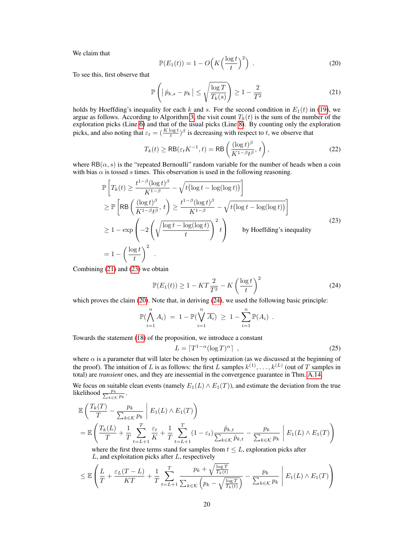<span id="page-19-3"></span>We claim that

$$
\mathbb{P}(E_1(t)) = 1 - O\left(K\left(\frac{\log t}{t}\right)^2\right) \tag{20}
$$

To see this, first observe that

<span id="page-19-1"></span>
$$
\mathbb{P}\left(\left|\hat{p}_{k,s} - p_k\right| \le \sqrt{\frac{\log T}{T_k(s)}}\right) \ge 1 - \frac{2}{T^2} \tag{21}
$$

holds by Hoeffding's inequality for each k and s. For the second condition in  $E_1(t)$  in [\(19\)](#page-18-2), we argue as follows. According to Algorithm [3,](#page-18-1) the visit count  $T_k(t)$  is the sum of the number of the exploration picks (Line [6\)](#page-18-1) and that of the usual picks (Line [8\)](#page-18-1). By counting only the exploration picks, and also noting that  $\varepsilon_t = (\frac{K \log t}{t})^{\beta}$  is decreasing with respect to t, we observe that

<span id="page-19-2"></span>
$$
T_k(t) \ge \text{RB}(\varepsilon_t K^{-1}, t) = \text{RB}\left(\frac{(\log t)^{\beta}}{K^{1-\beta}t^{\beta}}, t\right),\tag{22}
$$

where  $RB(\alpha, s)$  is the "repeated Bernoulli" random variable for the number of heads when a coin with bias  $\alpha$  is tossed s times. This observation is used in the following reasoning.

$$
\mathbb{P}\left[T_k(t) \ge \frac{t^{1-\beta}(\log t)^{\beta}}{K^{1-\beta}} - \sqrt{t(\log t - \log(\log t))}\right]
$$
\n
$$
\ge \mathbb{P}\left[\text{RB}\left(\frac{(\log t)^{\beta}}{K^{1-\beta}t^{\beta}}, t\right) \ge \frac{t^{1-\beta}(\log t)^{\beta}}{K^{1-\beta}} - \sqrt{t(\log t - \log(\log t))}\right]
$$
\n
$$
\ge 1 - \exp\left(-2\left(\sqrt{\frac{\log t - \log(\log t)}{t}}\right)^2 t\right) \qquad \text{by Hoeffding's inequality}
$$
\n
$$
= 1 - \left(\frac{\log t}{t}\right)^2.
$$
\n(23)

Combining [\(21\)](#page-19-1) and [\(23\)](#page-19-2) we obtain

<span id="page-19-4"></span>
$$
\mathbb{P}(E_1(t)) \ge 1 - KT\frac{2}{T^2} - K\left(\frac{\log t}{t}\right)^2 \tag{24}
$$

which proves the claim [\(20\)](#page-19-3). Note that, in deriving [\(24\)](#page-19-4), we used the following basic principle:

$$
\mathbb{P}(\bigwedge_{i=1}^{n} A_i) = 1 - \mathbb{P}(\bigvee_{i=1}^{n} \overline{A_i}) \geq 1 - \sum_{i=1}^{n} \mathbb{P}(A_i) .
$$

Towards the statement [\(18\)](#page-18-3) of the proposition, we introduce a constant

<span id="page-19-0"></span>
$$
L = \lceil T^{1-\alpha} (\log T)^{\alpha} \rceil \tag{25}
$$

where  $\alpha$  is a parameter that will later be chosen by optimization (as we discussed at the beginning of the proof). The intuition of L is as follows: the first L samples  $k^{(1)}, \ldots, k^{(L)}$  (out of T samples in total) are *transient* ones, and they are inessential in the convergence guarantee in Thm. [A.14.](#page-18-0)

We focus on suitable clean events (namely  $E_1(L) \wedge E_1(T)$ ), and estimate the deviation from the true likelihood  $\frac{p_k}{\sum_{k \in \mathcal{K}} p_k}$ .

$$
\mathbb{E}\left(\frac{T_k(T)}{T} - \frac{p_k}{\sum_{k\in\mathcal{K}}p_k}\middle| E_1(L) \wedge E_1(T)\right)
$$
\n
$$
= \mathbb{E}\left(\frac{T_k(L)}{T} + \frac{1}{T}\sum_{t=L+1}^T \frac{\varepsilon_t}{K} + \frac{1}{T}\sum_{t=L+1}^T (1-\varepsilon_t) \frac{\hat{p}_{k,t}}{\sum_{k\in\mathcal{K}} \hat{p}_{k,t}} - \frac{p_k}{\sum_{k\in\mathcal{K}} p_k}\middle| E_1(L) \wedge E_1(T)\right)
$$

where the first three terms stand for samples from  $t \leq L$ , exploration picks after  $L$ , and exploitation picks after  $L$ , respectively

$$
\leq \mathbb{E}\left(\frac{L}{T} + \frac{\varepsilon_L(T-L)}{KT} + \frac{1}{T}\sum_{t=L+1}^T \frac{p_k + \sqrt{\frac{\log T}{T_k(t)}}}{\sum_{k\in\mathcal{K}}\left(p_k - \sqrt{\frac{\log T}{T_k(t)}}\right)} - \frac{p_k}{\sum_{k\in\mathcal{K}}p_k}\right) E_1(L) \wedge E_1(T)\right)
$$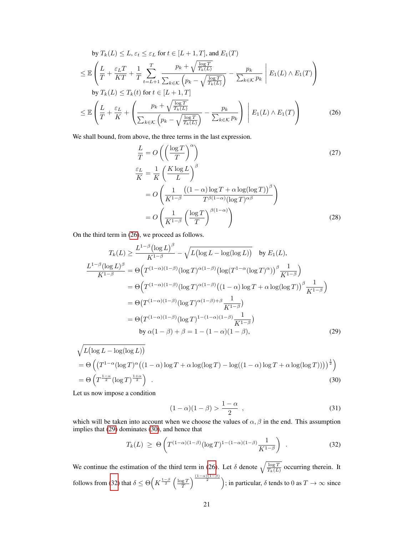by 
$$
T_k(L) \leq L
$$
,  $\varepsilon_t \leq \varepsilon_L$  for  $t \in [L + 1, T]$ , and  $E_1(T)$   
\n
$$
\leq \mathbb{E}\left(\frac{L}{T} + \frac{\varepsilon_L T}{KT} + \frac{1}{T} \sum_{t=L+1}^T \frac{p_k + \sqrt{\frac{\log T}{T_k(L)}}}{\sum_{k \in \mathcal{K}} (p_k - \sqrt{\frac{\log T}{T_k(L)}})} - \frac{p_k}{\sum_{k \in \mathcal{K}} p_k} \middle| E_1(L) \wedge E_1(T) \right)
$$
\nby  $T_k(L) \leq T_k(t)$  for  $t \in [L + 1, T]$   
\n
$$
\leq \mathbb{E}\left(\frac{L}{T} + \frac{\varepsilon_L}{K} + \left(\frac{p_k + \sqrt{\frac{\log T}{T_k(L)}}}{\sum_{k \in \mathcal{K}} (p_k - \sqrt{\frac{\log T}{T_k(L)}})} - \frac{p_k}{\sum_{k \in \mathcal{K}} p_k}\right) \middle| E_1(L) \wedge E_1(T) \right)
$$
(26)

We shall bound, from above, the three terms in the last expression.

$$
\frac{L}{T} = O\left(\left(\frac{\log T}{T}\right)^{\alpha}\right)
$$
\n
$$
\frac{\varepsilon_L}{K} = \frac{1}{K} \left(\frac{K \log L}{L}\right)^{\beta}
$$
\n
$$
= O\left(\frac{1}{K^{1-\beta}} \frac{\left((1-\alpha)\log T + \alpha \log(\log T)\right)^{\beta}}{T^{\beta(1-\alpha)}(\log T)^{\alpha\beta}}\right)
$$
\n
$$
= O\left(\frac{1}{K^{1-\beta}} \left(\frac{\log T}{T}\right)^{\beta(1-\alpha)}\right)
$$
\n(28)

On the third term in [\(26\)](#page-19-0), we proceed as follows.

$$
T_k(L) \ge \frac{L^{1-\beta}(\log L)^{\beta}}{K^{1-\beta}} - \sqrt{L(\log L - \log(\log L))} \quad \text{by } E_1(L),
$$
  
\n
$$
\frac{L^{1-\beta}(\log L)^{\beta}}{K^{1-\beta}} = \Theta(T^{(1-\alpha)(1-\beta)}(\log T)^{\alpha(1-\beta)}(\log(T^{1-\alpha}(\log T)^{\alpha}))^{\beta} \frac{1}{K^{1-\beta}})
$$
  
\n
$$
= \Theta(T^{(1-\alpha)(1-\beta)}(\log T)^{\alpha(1-\beta)}((1-\alpha)\log T + \alpha \log(\log T))^{\beta} \frac{1}{K^{1-\beta}})
$$
  
\n
$$
= \Theta(T^{(1-\alpha)(1-\beta)}(\log T)^{\alpha(1-\beta)+\beta} \frac{1}{K^{1-\beta}})
$$
  
\n
$$
= \Theta(T^{(1-\alpha)(1-\beta)}(\log T)^{1-(1-\alpha)(1-\beta)} \frac{1}{K^{1-\beta}})
$$
  
\nby  $\alpha(1-\beta) + \beta = 1 - (1-\alpha)(1-\beta),$  (29)

$$
\sqrt{L(\log L - \log(\log L))}
$$
\n
$$
= \Theta\left(\left(T^{1-\alpha}(\log T)^{\alpha}\left((1-\alpha)\log T + \alpha\log(\log T) - \log((1-\alpha)\log T + \alpha\log(\log T))\right)\right)^{\frac{1}{2}}\right)
$$
\n
$$
= \Theta\left(T^{\frac{1-\alpha}{2}}(\log T)^{\frac{1+\alpha}{2}}\right).
$$
\n(30)

Let us now impose a condition

<span id="page-20-1"></span><span id="page-20-0"></span>
$$
(1 - \alpha)(1 - \beta) > \frac{1 - \alpha}{2} \tag{31}
$$

which will be taken into account when we choose the values of  $\alpha$ ,  $\beta$  in the end. This assumption implies that [\(29\)](#page-19-0) dominates [\(30\)](#page-19-0), and hence that

$$
T_k(L) \geq \Theta\left(T^{(1-\alpha)(1-\beta)}(\log T)^{1-(1-\alpha)(1-\beta)}\frac{1}{K^{1-\beta}}\right) \tag{32}
$$

We continue the estimation of the third term in [\(26\)](#page-19-0). Let  $\delta$  denote  $\sqrt{\frac{\log T}{T_k(L)}}$  occurring therein. It follows from [\(32\)](#page-20-0) that  $\delta \leq \Theta\left(K^{\frac{1-\beta}{2}}\left(\frac{\log T}{T}\right)^{\frac{(1-\alpha)(1-\beta)}{2}}\right)$ ; in particular,  $\delta$  tends to 0 as  $T \to \infty$  since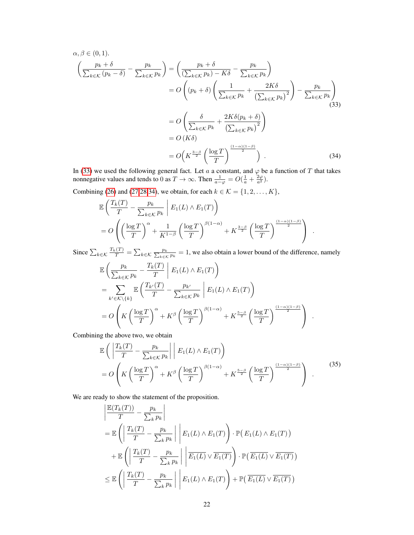$$
\alpha, \beta \in (0, 1).
$$
\n
$$
\left(\frac{p_k + \delta}{\sum_{k \in \mathcal{K}} (p_k - \delta)} - \frac{p_k}{\sum_{k \in \mathcal{K}} p_k}\right) = \left(\frac{p_k + \delta}{(\sum_{k \in \mathcal{K}} p_k) - K\delta} - \frac{p_k}{\sum_{k \in \mathcal{K}} p_k}\right)
$$
\n
$$
= O\left((p_k + \delta)\left(\frac{1}{\sum_{k \in \mathcal{K}} p_k} + \frac{2K\delta}{(\sum_{k \in \mathcal{K}} p_k)^2}\right) - \frac{p_k}{\sum_{k \in \mathcal{K}} p_k}\right)
$$
\n
$$
= O\left(\frac{\delta}{\sum_{k \in \mathcal{K}} p_k} + \frac{2K\delta(p_k + \delta)}{(\sum_{k \in \mathcal{K}} p_k)^2}\right)
$$
\n
$$
= O(K\delta)
$$
\n
$$
= O\left(K^{\frac{3-\beta}{2}}\left(\frac{\log T}{T}\right)^{\frac{(1-\alpha)(1-\beta)}{2}}\right).
$$
\n(34)

In [\(33\)](#page-20-0) we used the following general fact. Let a a constant, and  $\varphi$  be a function of T that takes nonnegative values and tends to 0 as  $T \to \infty$ . Then  $\frac{1}{a-\varphi} = O(\frac{1}{a} + \frac{2\varphi}{a^2})$ .

Combining [\(26\)](#page-19-0) and [\(27,28,](#page-19-0)[34\)](#page-20-0), we obtain, for each  $k \in \mathcal{K} = \{1, 2, ..., K\}$ ,

$$
\mathbb{E}\left(\frac{T_k(T)}{T} - \frac{p_k}{\sum_{k \in \mathcal{K}} p_k} \middle| E_1(L) \wedge E_1(T) \right)
$$
  
=  $O\left(\left(\frac{\log T}{T}\right)^{\alpha} + \frac{1}{K^{1-\beta}} \left(\frac{\log T}{T}\right)^{\beta(1-\alpha)} + K^{\frac{3-\beta}{2}} \left(\frac{\log T}{T}\right)^{\frac{(1-\alpha)(1-\beta)}{2}}\right).$ 

Since  $\sum_{k \in \mathcal{K}} \frac{T_k(T)}{T} = \sum_{k \in \mathcal{K}} \frac{p_k}{\sum_{k \in \mathcal{K}} p_k} = 1$ , we also obtain a lower bound of the difference, namely

$$
\mathbb{E}\left(\frac{p_k}{\sum_{k\in\mathcal{K}}p_k} - \frac{T_k(T)}{T}\middle| E_1(L) \wedge E_1(T)\right)
$$
\n
$$
= \sum_{k'\in\mathcal{K}\backslash\{k\}} \mathbb{E}\left(\frac{T_{k'}(T)}{T} - \frac{p_{k'}}{\sum_{k\in\mathcal{K}}p_k}\middle| E_1(L) \wedge E_1(T)\right)
$$
\n
$$
= O\left(K\left(\frac{\log T}{T}\right)^{\alpha} + K^{\beta}\left(\frac{\log T}{T}\right)^{\beta(1-\alpha)} + K^{\frac{5-\beta}{2}}\left(\frac{\log T}{T}\right)^{\frac{(1-\alpha)(1-\beta)}{2}}\right).
$$

Combining the above two, we obtain

$$
\mathbb{E}\left(\left|\frac{T_k(T)}{T} - \frac{p_k}{\sum_{k \in \mathcal{K}} p_k}\right|\middle| E_1(L) \wedge E_1(T)\right) \n= O\left(K\left(\frac{\log T}{T}\right)^{\alpha} + K^{\beta}\left(\frac{\log T}{T}\right)^{\beta(1-\alpha)} + K^{\frac{5-\beta}{2}}\left(\frac{\log T}{T}\right)^{\frac{(1-\alpha)(1-\beta)}{2}}\right).
$$
\n(35)

We are ready to show the statement of the proposition.

<span id="page-21-0"></span> $\sim$  1

$$
\left| \frac{\mathbb{E}(T_k(T))}{T} - \frac{p_k}{\sum_k p_k} \right|
$$
\n
$$
= \mathbb{E}\left( \left| \frac{T_k(T)}{T} - \frac{p_k}{\sum_k p_k} \right| \left| E_1(L) \wedge E_1(T) \right| \right) \cdot \mathbb{P}\left( E_1(L) \wedge E_1(T) \right)
$$
\n
$$
+ \mathbb{E}\left( \left| \frac{T_k(T)}{T} - \frac{p_k}{\sum_k p_k} \right| \left| \frac{\overline{E_1(L)} \vee \overline{E_1(T)}}{E_1(L)} \right| \cdot \mathbb{P}\left( \overline{E_1(L)} \vee \overline{E_1(T)} \right)
$$
\n
$$
\leq \mathbb{E}\left( \left| \frac{T_k(T)}{T} - \frac{p_k}{\sum_k p_k} \right| \left| E_1(L) \wedge E_1(T) \right| + \mathbb{P}\left( \overline{E_1(L)} \vee \overline{E_1(T)} \right)
$$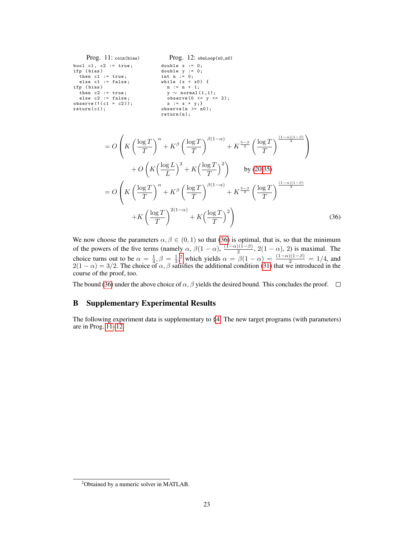```
Prog. 11: coin(bias)
bool c1, c2 := true;
ifp ( bias )
  then c1 := true;else c1 := false;
ifp ( bias )
  then c2 := true;else c2 := false;
observe (!( c1 = c2 ) );
return (c1);Prog. 12: obsLoop(x0,n0)
                                    double x := 0;
                                     double y := 0;
                                    int n := 0;
                                     while (x < x0 ) {
n := n + 1;
                                        y \sim \text{normal}(1,1);<br>observe(0 <= y <= 2);<br>x := x + y;}
                                    observe (n \ge -n0);
                                    return(n);
```

$$
= O\left(K\left(\frac{\log T}{T}\right)^{\alpha} + K^{\beta}\left(\frac{\log T}{T}\right)^{\beta(1-\alpha)} + K^{\frac{5-\beta}{2}}\left(\frac{\log T}{T}\right)^{\frac{(1-\alpha)(1-\beta)}{2}}\right) \right)
$$

$$
+ O\left(K\left(\frac{\log L}{L}\right)^{2} + K\left(\frac{\log T}{T}\right)^{2}\right) \qquad \text{by (20,35)}
$$

$$
= O\left(K\left(\frac{\log T}{T}\right)^{\alpha} + K^{\beta}\left(\frac{\log T}{T}\right)^{\beta(1-\alpha)} + K^{\frac{5-\beta}{2}}\left(\frac{\log T}{T}\right)^{\frac{(1-\alpha)(1-\beta)}{2}} \right)
$$

$$
+ K\left(\frac{\log T}{T}\right)^{2(1-\alpha)} + K\left(\frac{\log T}{T}\right)^{2}\right) \tag{36}
$$

We now choose the parameters  $\alpha, \beta \in (0, 1)$  so that [\(36\)](#page-21-0) is optimal, that is, so that the minimum of the powers of the five terms (namely  $\alpha$ ,  $\beta(1-\alpha)$ ,  $\frac{(1-\alpha)(1-\beta)}{2}$ ,  $2(1-\alpha)$ , 2) is maximal. The 2 choice turns out to be  $\alpha = \frac{1}{4}$ ,  $\beta = \frac{1}{3}$ , which yields  $\alpha = \beta(1 - \alpha) = \frac{(1 - \alpha)(1 - \beta)}{2} = 1/4$  $\alpha = \beta(1 - \alpha) = \frac{(1 - \alpha)(1 - \beta)}{2} = 1/4$  $\alpha = \beta(1 - \alpha) = \frac{(1 - \alpha)(1 - \beta)}{2} = 1/4$ , and  $2(1 - \alpha) = 3/2$ . The choice of  $\alpha, \beta$  satisfies the additional condition [\(31\)](#page-20-1) that we introduced in the course of the proof, too.

The bound [\(36\)](#page-21-0) under the above choice of  $\alpha$ ,  $\beta$  yields the desired bound. This concludes the proof.  $\square$ 

## <span id="page-22-0"></span>B Supplementary Experimental Results

The following experiment data is supplementary to [§4.](#page-7-0) The new target programs (with parameters) are in Prog. [11–](#page-22-2)[12.](#page-22-3)

<span id="page-22-1"></span><sup>2</sup>Obtained by a numeric solver in MATLAB.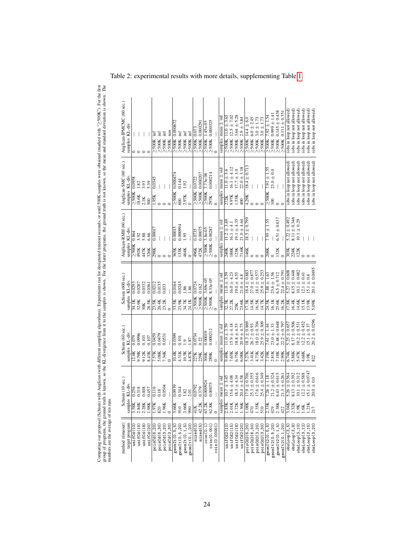| Anglican-IPMCMC (60 sec.)<br>samples KL-div. |                       |                 |                |                   | Ē<br>$\geq 500K$            | $\mathbb{H}$<br>$\geq 500$ K<br>$\geq 500$ K | $\inf$          | nan<br>$\geq$ 500K | 0.000672<br>$\geq 500$ K     | İmf<br>$\geq 500K$          | $\operatorname{int}$<br>$\geq 500$ K | $\geq$ 500K inf | $\geq$ 500K 0.073     | $>500K$ 0.00029                               |                  | $\frac{\geq 500 \text{K}}{2} \frac{1.45 \text{e-05}}{0}$ = |                  | samples mean $\pm$ sto         | $11.0 \pm 3.65$<br>>500K | $\geq$ 500K 12.5 ± 7.02  | $3.64 \pm 5.28$<br>$\geq 500$ K | $2.9 \pm 3.84$<br>$\geq 500K$ | $14.4 \pm 6.0$<br>$\geq 500$ K                  | $6.0 \pm 2.45$                              | $3.0\pm1.73$              | $3.0 \pm 1.73$<br>$2500K$<br>$2500K$<br>$2500K$ | $7.92 \pm 1.54$<br>$\geq 500$ K | $\geq$ 500K 0.999 ± 1.4  | $\geq$ 500K 0.145 ± 0.458 | $>500K$ 0.111 $\pm$ 0.35  | obs in loop not allowed                          | obs in loop not allowed                                | obs in loop not allowed   | (obs in loop not allowed) | obs in loop not allowed)  | (obs in loop not allowed)   |
|----------------------------------------------|-----------------------|-----------------|----------------|-------------------|-----------------------------|----------------------------------------------|-----------------|--------------------|------------------------------|-----------------------------|--------------------------------------|-----------------|-----------------------|-----------------------------------------------|------------------|------------------------------------------------------------|------------------|--------------------------------|--------------------------|--------------------------|---------------------------------|-------------------------------|-------------------------------------------------|---------------------------------------------|---------------------------|-------------------------------------------------|---------------------------------|--------------------------|---------------------------|---------------------------|--------------------------------------------------|--------------------------------------------------------|---------------------------|---------------------------|---------------------------|-----------------------------|
| Anglican-SMC (60 sec.)<br>samples KL-div.    | 0.0958<br>$\geq 500K$ | 1.82<br>18.6K   | 3.93<br>2.1K   | 5.39<br>500       | 0.0545<br>1.95 <sub>K</sub> |                                              |                 |                    | 0.000474<br>$\geq 500K$      | 0.144<br>600                | 1.92<br>2.97K                        |                 |                       | $\frac{5500K}{2500K} \frac{0.0722}{0.000207}$ | $7.73e-06$       | 0.000214<br>$\frac{2500K}{297K}$                           |                  | samples mean $\pm$ std         | $1.0 \pm 3.6$<br>272K    | $16.1 \pm 4.12$<br>9.97K | $17.7 \pm 3.0$<br>1.53K         | $22.0 \pm 3.18$<br>400        | $8.4 \pm 0.71$<br>4.29K                         |                                             |                           |                                                 | $7.91 \pm 1.55$<br>$\geq 500K$  | $23.0 \pm 0.0$<br>100    |                           |                           |                                                  | (obs in loop not allowed)<br>(obs in loop not allowed) | (obs in loop not allowed) | (obs in loop not allowed) | (obs in loop not allowed) | (obs in loop not allowed)   |
| Anglican-RMH (60 sec.)<br>samples KL-div.    | 0.864<br>$\geq 500K$  | 3.92<br>492K    | 5.88<br>447K   | 6.66<br>326K      | 0.0001<br>298K              |                                              |                 |                    | 0.00015<br>365K              | 0.00094<br>133K             | 0.95<br>464K                         |                 | 0.0735<br>496K        | 0.00075<br>472K                               | $3.8e-05$        | 0.00287<br>$\frac{2500K}{2500K}$                           |                  | samples mean $\pm$ std         | $1.2 \pm 3.69$<br>240K   | $16.1 \pm 4.1$<br>188K   | $19.1 \pm 4.35$<br>123K         | $21.0 \pm 4.64$<br>71.6K      | $8.5 \pm 0.79$<br>146K                          |                                             |                           |                                                 | $7.95 \pm 1.55$<br>208K         |                          | $6.51 \pm 0.637$<br>132K  |                           | $5.22 \pm 0.492$<br>303K                         | $8.11 \pm 0.346$<br>224K                               | $10.1 \pm 0.29$<br>122K   |                           |                           |                             |
| Schism (600 sec.)<br>KL-div.<br>samples      | 0.0293<br>34.1K       | 0.0287<br>32.9K | 0.0332<br>30K  | 0.0361<br>28.5K   | 0.0212                      | 0.0135<br>23.5K<br>20.4K                     | 0.033<br>23.2K  |                    | 0.0164<br>33.5K<br>23.9K     | 0.0243                      | 1.86<br>34.7K                        | 1.86<br>24.1K   | 0.0724<br>$\geq 500K$ | 0.162<br>$\geq$ 500K                          |                  | $\geq$ 500K 3.69e-05<br>$\geq$ 500K 8.33e-05               |                  | mean $\pm$ std<br>samples      | $1.0 \pm 3.59$<br>32.3K  | $6.0 \pm 4.23$<br>27.2K  | $19.0 \pm 4.55$<br>25K          | $21.0 \pm 4.8$<br>23.6K       | $8.4 \pm 0.88$                                  | $27.0 \pm 0.877$<br>17.3K<br>14.5K          | $18.1 \pm 0.577$<br>16.5K | $25.9 \pm 0.253$<br>14.7K                       | $7.88 \pm 1.63$<br>24.5K        | $23.6 \pm 1.56$<br>16.1K | $6.5 \pm 0.712$<br>25.6K  | $22.4 \pm 0.79$<br>16.2K  | $5.27 \pm 0.608$<br>7.8K                         | $8.15 \pm 0.448$<br>16.4K                              | $10.1 \pm 0.482$<br>14.6K | $2.1 \pm 0.41$<br>15.1K   | $5.1 \pm 0.4$<br>13.9K    | $20.1 \pm 0.0495$<br>5.09K  |
| Schism (60 sec.)<br>samples KL-div.          | 0.079<br>2.4K         | 0.0996<br>9.79K | 0.103<br>9.12K | 0.107<br>8.43K    | 0.0459<br>7.57K             | 0.0479<br>5.08K                              | 0.0531<br>7.34K |                    | 0.0399<br>$\overline{10.4K}$ | 0.101<br>4.31K              | $\overline{a}$<br>$10.3K$            | 1.87<br>4.87K   | 0.0734<br>227K        | 0.22<br>229K                                  | 0.00019<br>304K  | 0.000212<br>289K                                           |                  | mean $\pm$ sto<br>samples      | $1.0 \pm 3.59$<br>9.49K  | $15.9 \pm 4.18$<br>7.65K | $18.8 \pm 4.53$<br>6.75K        | $20.9 \pm 4.75$<br>6.08K      | $\frac{18.3 \pm 0.869}{26.7 \pm 0.93}$<br>5.27K | 3.41K                                       | $18.0 \pm 0.704$<br>4.73K | $25.9 \pm 0.309$<br>3.42K                       | $7.61 \pm 1.44$<br>7.19K        | $23.0 \pm 1.33$<br>2.81K | $6.48 \pm 0.648$<br>7.18K | $22.2 \pm 0.797$<br>2.99K | $\frac{5.25 \pm 0.657}{8.17 \pm 0.506}$<br>6.74K | 5.88K                                                  | $10.2 \pm 0.531$<br>5.47K | $12.2 \pm 0.452$<br>4.68K | $15.1 \pm 0.37$<br>3.9K   | $\pm 0.0296$<br>20.2<br>822 |
| Schism (10 sec.)<br>IL-div.<br>samples K     | 3.58K                 | 2.84K           | 2.28K          | 56 38 37<br>1.98K | $-97$                       | $\frac{16}{18}$<br>820                       | .0504<br>1.96K  |                    | $634 \times 25$<br>3.66K     | 910                         | 3.66K                                | 990             | $\frac{2620}{2}$      | 379<br>42.2K                                  | .000924<br>63.2K | .00075<br>62.8K                                            |                  | $n$ ean $\pm$ std<br>samples n | $0.7 \pm 3.45$<br>2.83K  | $5.6 \pm 4.08$<br>2.01K  | $8.3 \pm 4.34$<br>1.72K         | $0.4 \pm 4.58$<br>1.36K       | $7.9 \pm 0.706$<br>1.08K                        | $25.3 \pm 0.355$<br>$17.6 \pm 0.616$<br>470 | 1.35K                     | $5.4 \pm 0.349$<br>510                          | $26 + 1.18$<br>2.33K            | $1.2 \pm 0.324$<br>429   | $43 \pm 0.615$<br>2.38K   | $1.3 \pm 0.261$<br>422    | $.26 \pm 0.564$<br>3.04K                         | $.13 \pm 0.392$<br>2.32K                               | $0.1 \pm 0.312$<br>1.9K   | $2.2 \pm 0.588$<br>1.6K   | 5.1 $\pm$ 0.0747<br>1.21K | $0.0 \pm 0.0$               |
| method (timeout)<br>target program           | unifCd(10             | unifCd(15)      | unifCd(18)     | unifCd(20)        | poisCd(6,20)                | poisCd(6,30)                                 | poisCd(3,20)    | poisCd(3,30)       | geont (0.5, 5)               | geom <sub>It</sub> (0.5,20) | geonIt(0.1, 5)                       | geomIt(0.1, 20) | mixed(0)              | mixed(5)                                      | $\cosh(0.1)$     | $\cosh(0.001)$                                             | $\cosh(0.00001)$ |                                | unifCd2(10               | unifCd2(15)              | unifCd2(18)                     | unifCd2(20)                   | poisCd2(6,20                                    | poisCd2(6,30)                               | poisCd2(3,20)             | poisCd2(3,30)                                   | $\texttt{geomIt2}(0.5, 5)$      | geomIt2(0.5,20)          | geomIt2(0.1,5)            | geomIt2(0.1,20)           | obsLoop(3, 5)                                    | obsLoop(3,8)                                           | obsLoop(3,10)             | obsLoop(3,12)             | obsLoop(3,15)             | obsLoop(3,20)               |

Comparing our proposal (Schism) with Anglican (with different sampling algorithms). Experiments ran for designated timeout seconds, or until 500K samples were obtained (marked with "≥500K"). For the first group of programs, the ground truth is known, so the KL-divergence from it to the samples is shown. For the latter programs, the ground truth is not known, so the mean and standard deviation is shown. The

Comparing our proposal (Schism) with Anglican (with different sampling algorithms). Experiments ran for designated timeout seconds, or until 500K samples were obtained (marked with "2500K"). For the first<br>group of program

numbers are the average of ten runs.

Table 2: experimental results with more details, supplementing Table [1.](#page-8-0)